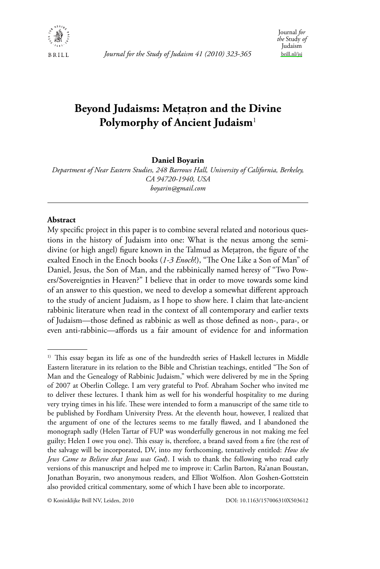

Journal for the Study of Judaism 41 (2010) 323-365

# Beyond Judaisms: Metatron and the Divine Polymorphy of Ancient Judaism<sup>1</sup>

Daniel Boyarin

Department of Near Eastern Studies, 248 Barrows Hall, University of California, Berkeley, CA 94720-1940, USA boyarin@gmail.com

#### Abstract

My specific project in this paper is to combine several related and notorious questions in the history of Judaism into one: What is the nexus among the semidivine (or high angel) figure known in the Talmud as Metatron, the figure of the exalted Enoch in the Enoch books (1-3 Enoch!), "The One Like a Son of Man" of Daniel, Jesus, the Son of Man, and the rabbinically named heresy of "Two Powers/Sovereignties in Heaven?" I believe that in order to move towards some kind of an answer to this question, we need to develop a somewhat different approach to the study of ancient Judaism, as I hope to show here. I claim that late-ancient rabbinic literature when read in the context of all contemporary and earlier texts of Judaism-those defined as rabbinic as well as those defined as non-, para-, or even anti-rabbinic-affords us a fair amount of evidence for and information

© Koninklijke Brill NV, Leiden, 2010

<sup>&</sup>lt;sup>1)</sup> This essay began its life as one of the hundredth series of Haskell lectures in Middle Eastern literature in its relation to the Bible and Christian teachings, entitled "The Son of Man and the Genealogy of Rabbinic Judaism," which were delivered by me in the Spring of 2007 at Oberlin College. I am very grateful to Prof. Abraham Socher who invited me to deliver these lectures. I thank him as well for his wonderful hospitality to me during very trying times in his life. These were intended to form a manuscript of the same title to be published by Fordham University Press. At the eleventh hour, however, I realized that the argument of one of the lectures seems to me fatally flawed, and I abandoned the monograph sadly (Helen Tartar of FUP was wonderfully generous in not making me feel guilty; Helen I owe you one). This essay is, therefore, a brand saved from a fire (the rest of the salvage will be incorporated, DV, into my forthcoming, tentatively entitled: How the Jews Came to Believe that Jesus was God). I wish to thank the following who read early versions of this manuscript and helped me to improve it: Carlin Barton, Ra'anan Boustan, Jonathan Boyarin, two anonymous readers, and Elliot Wolfson. Alon Goshen-Gottstein also provided critical commentary, some of which I have been able to incorporate.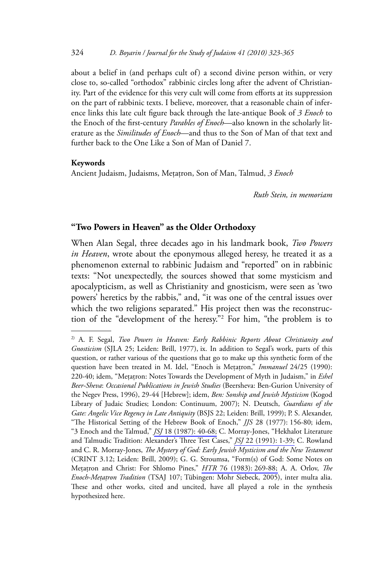about a belief in (and perhaps cult of) a second divine person within, or very close to, so-called "orthodox" rabbinic circles long after the advent of Christianity. Part of the evidence for this very cult will come from efforts at its suppression on the part of rabbinic texts. I believe, moreover, that a reasonable chain of inference links this late cult figure back through the late-antique Book of 3 *Enoch* to the Enoch of the first-century Parables of Enoch-also known in the scholarly literature as the Similitudes of Enoch-and thus to the Son of Man of that text and further back to the One Like a Son of Man of Daniel 7.

#### Keywords

Ancient Judaism, Judaisms, Metatron, Son of Man, Talmud, 3 Enoch

Ruth Stein, in memoriam

#### "Two Powers in Heaven" as the Older Orthodoxy

When Alan Segal, three decades ago in his landmark book, Two Powers in Heaven, wrote about the eponymous alleged heresy, he treated it as a phenomenon external to rabbinic Judaism and "reported" on in rabbinic texts: "Not unexpectedly, the sources showed that some mysticism and apocalypticism, as well as Christianity and gnosticism, were seen as 'two powers' heretics by the rabbis," and, "it was one of the central issues over which the two religions separated." His project then was the reconstruction of the "development of the heresy."<sup>2</sup> For him, "the problem is to

<sup>&</sup>lt;sup>2)</sup> A. F. Segal, Two Powers in Heaven: Early Rabbinic Reports About Christianity and Gnosticism (SJLA 25; Leiden: Brill, 1977), ix. In addition to Segal's work, parts of this question, or rather various of the questions that go to make up this synthetic form of the question have been treated in M. Idel, "Enoch is Metatron," Immanuel 24/25 (1990): 220-40; idem, "Metatron: Notes Towards the Development of Myth in Judaism," in Eshel Beer-Sheva: Occasional Publications in Jewish Studies (Beersheva: Ben-Gurion University of the Negev Press, 1996), 29-44 [Hebrew]; idem, Ben: Sonship and Jewish Mysticism (Kogod Library of Judaic Studies; London: Continuum, 2007); N. Deutsch, Guardians of the Gate: Angelic Vice Regency in Late Antiquity (BSJS 22; Leiden: Brill, 1999); P. S. Alexander, "The Historical Setting of the Hebrew Book of Enoch," //S 28 (1977): 156-80; idem, "3 Enoch and the Talmud," JSJ 18 (1987): 40-68; C. Morray-Jones, "Hekhalot Literature and Talmudic Tradition: Alexander's Three Test Cases," JSJ 22 (1991): 1-39; C. Rowland and C. R. Morray-Jones, The Mystery of God: Early Jewish Mysticism and the New Testament (CRINT 3.12; Leiden: Brill, 2009); G. G. Stroumsa, "Form(s) of God: Some Notes on Metatron and Christ: For Shlomo Pines," HTR 76 (1983): 269-88; A. A. Orlov, The Enoch-Metatron Tradition (TSAJ 107; Tübingen: Mohr Siebeck, 2005), inter multa alia. These and other works, cited and uncited, have all played a role in the synthesis hypothesized here.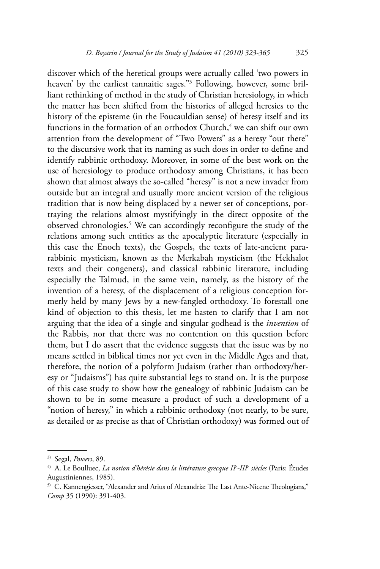discover which of the heretical groups were actually called 'two powers in heaven' by the earliest tannaitic sages."<sup>3</sup> Following, however, some brilliant rethinking of method in the study of Christian heresiology, in which the matter has been shifted from the histories of alleged heresies to the history of the episteme (in the Foucauldian sense) of heresy itself and its functions in the formation of an orthodox Church,<sup>4</sup> we can shift our own attention from the development of "Two Powers" as a heresy "out there" to the discursive work that its naming as such does in order to define and identify rabbinic orthodoxy. Moreover, in some of the best work on the use of heresiology to produce orthodoxy among Christians, it has been shown that almost always the so-called "heresy" is not a new invader from outside but an integral and usually more ancient version of the religious tradition that is now being displaced by a newer set of conceptions, portraying the relations almost mystifyingly in the direct opposite of the observed chronologies.<sup>5</sup> We can accordingly reconfigure the study of the relations among such entities as the apocalyptic literature (especially in this case the Enoch texts), the Gospels, the texts of late-ancient pararabbinic mysticism, known as the Merkabah mysticism (the Hekhalot texts and their congeners), and classical rabbinic literature, including especially the Talmud, in the same vein, namely, as the history of the invention of a heresy, of the displacement of a religious conception formerly held by many Jews by a new-fangled orthodoxy. To forestall one kind of objection to this thesis, let me hasten to clarify that I am not arguing that the idea of a single and singular godhead is the *invention* of the Rabbis, nor that there was no contention on this question before them, but I do assert that the evidence suggests that the issue was by no means settled in biblical times nor yet even in the Middle Ages and that, therefore, the notion of a polyform Judaism (rather than orthodoxy/heresy or "Judaisms") has quite substantial legs to stand on. It is the purpose of this case study to show how the genealogy of rabbinic Judaism can be shown to be in some measure a product of such a development of a "notion of heresy," in which a rabbinic orthodoxy (not nearly, to be sure, as detailed or as precise as that of Christian orthodoxy) was formed out of

<sup>&</sup>lt;sup>3)</sup> Segal, Powers, 89.

<sup>&</sup>lt;sup>4)</sup> A. Le Boulluec, *La notion d'hérésie dans la littérature grecque II<sup>e</sup>-III<sup>e</sup> siècles (Paris: Études* Augustiniennes, 1985).

<sup>&</sup>lt;sup>5)</sup> C. Kannengiesser, "Alexander and Arius of Alexandria: The Last Ante-Nicene Theologians," Comp 35 (1990): 391-403.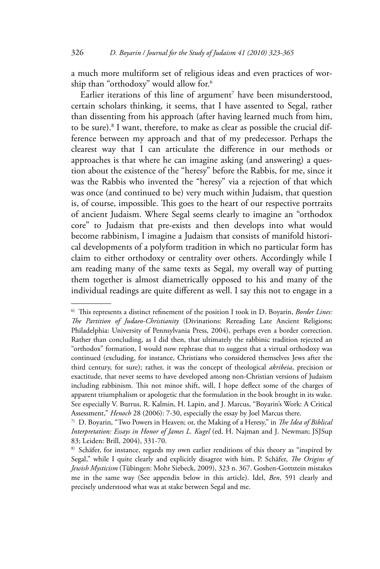a much more multiform set of religious ideas and even practices of worship than "orthodoxy" would allow for.<sup>6</sup>

Earlier iterations of this line of argument<sup>7</sup> have been misunderstood, certain scholars thinking, it seems, that I have assented to Segal, rather than dissenting from his approach (after having learned much from him, to be sure).<sup>8</sup> I want, therefore, to make as clear as possible the crucial difference between my approach and that of my predecessor. Perhaps the clearest way that I can articulate the difference in our methods or approaches is that where he can imagine asking (and answering) a question about the existence of the "heresy" before the Rabbis, for me, since it was the Rabbis who invented the "heresy" via a rejection of that which was once (and continued to be) very much within Judaism, that question is, of course, impossible. This goes to the heart of our respective portraits of ancient Judaism. Where Segal seems clearly to imagine an "orthodox core" to Judaism that pre-exists and then develops into what would become rabbinism, I imagine a Judaism that consists of manifold historical developments of a polyform tradition in which no particular form has claim to either orthodoxy or centrality over others. Accordingly while I am reading many of the same texts as Segal, my overall way of putting them together is almost diametrically opposed to his and many of the individual readings are quite different as well. I say this not to engage in a

<sup>&</sup>lt;sup>6)</sup> This represents a distinct refinement of the position I took in D. Boyarin, *Border Lines*: The Partition of Judaeo-Christianity (Divinations: Rereading Late Ancient Religions; Philadelphia: University of Pennsylvania Press, 2004), perhaps even a border correction. Rather than concluding, as I did then, that ultimately the rabbinic tradition rejected an "orthodox" formation, I would now rephrase that to suggest that a virtual orthodoxy was continued (excluding, for instance, Christians who considered themselves Jews after the third century, for sure); rather, it was the concept of theological akribeia, precision or exactitude, that never seems to have developed among non-Christian versions of Judaism including rabbinism. This not minor shift, will, I hope deflect some of the charges of apparent triumphalism or apologetic that the formulation in the book brought in its wake. See especially V. Burrus, R. Kalmin, H. Lapin, and J. Marcus, "Boyarin's Work: A Critical Assessment," Henoch 28 (2006): 7-30, especially the essay by Joel Marcus there.

<sup>&</sup>lt;sup>7)</sup> D. Boyarin, "Two Powers in Heaven; or, the Making of a Heresy," in *The Idea of Biblical* Interpretation: Essays in Honor of James L. Kugel (ed. H. Najman and J. Newman; JSJSup 83; Leiden: Brill, 2004), 331-70.

<sup>&</sup>lt;sup>8)</sup> Schäfer, for instance, regards my own earlier renditions of this theory as "inspired by Segal," while I quite clearly and explicitly disagree with him, P. Schäfer, The Origins of Jewish Mysticism (Tübingen: Mohr Siebeck, 2009), 323 n. 367. Goshen-Gottstein mistakes me in the same way (See appendix below in this article). Idel, Ben, 591 clearly and precisely understood what was at stake between Segal and me.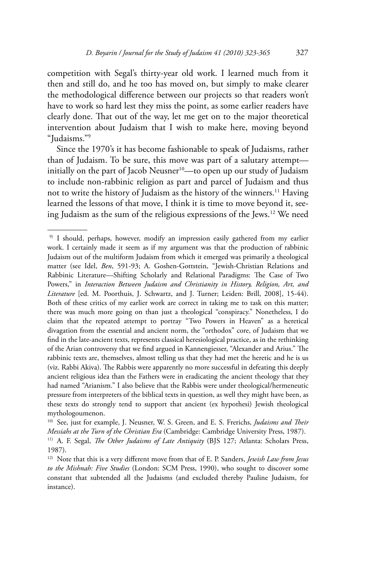competition with Segal's thirty-year old work. I learned much from it then and still do, and he too has moved on, but simply to make clearer the methodological difference between our projects so that readers won't have to work so hard lest they miss the point, as some earlier readers have clearly done. That out of the way, let me get on to the major theoretical intervention about Judaism that I wish to make here, moving beyond "Indaisms."9

Since the 1970's it has become fashionable to speak of Judaisms, rather than of Judaism. To be sure, this move was part of a salutary attemptinitially on the part of Jacob Neusner<sup>10</sup>—to open up our study of Judaism to include non-rabbinic religion as part and parcel of Judaism and thus not to write the history of Judaism as the history of the winners.<sup>11</sup> Having learned the lessons of that move, I think it is time to move beyond it, seeing Judaism as the sum of the religious expressions of the Jews.<sup>12</sup> We need

<sup>&</sup>lt;sup>9)</sup> I should, perhaps, however, modify an impression easily gathered from my earlier work. I certainly made it seem as if my argument was that the production of rabbinic Judaism out of the multiform Judaism from which it emerged was primarily a theological matter (see Idel, Ben, 591-93; A. Goshen-Gottstein, "Jewish-Christian Relations and Rabbinic Literature-Shifting Scholarly and Relational Paradigms: The Case of Two Powers," in Interaction Between Judaism and Christianity in History, Religion, Art, and Literature [ed. M. Poorthuis, J. Schwartz, and J. Turner; Leiden: Brill, 2008], 15-44). Both of these critics of my earlier work are correct in taking me to task on this matter; there was much more going on than just a theological "conspiracy." Nonetheless, I do claim that the repeated attempt to portray "Two Powers in Heaven" as a heretical divagation from the essential and ancient norm, the "orthodox" core, of Judaism that we find in the late-ancient texts, represents classical heresiological practice, as in the rethinking of the Arian controversy that we find argued in Kannengiesser, "Alexander and Arius." The rabbinic texts are, themselves, almost telling us that they had met the heretic and he is us (viz. Rabbi Akiva). The Rabbis were apparently no more successful in defeating this deeply ancient religious idea than the Fathers were in eradicating the ancient theology that they had named "Arianism." I also believe that the Rabbis were under theological/hermeneutic pressure from interpreters of the biblical texts in question, as well they might have been, as these texts do strongly tend to support that ancient (ex hypothesi) Jewish theological mythologoumenon.

<sup>&</sup>lt;sup>10)</sup> See, just for example, J. Neusner, W. S. Green, and E. S. Frerichs, Judaisms and Their Messiahs at the Turn of the Christian Era (Cambridge: Cambridge University Press, 1987). <sup>11)</sup> A. F. Segal, *The Other Judaisms of Late Antiquity* (BJS 127; Atlanta: Scholars Press, 1987).

<sup>&</sup>lt;sup>12)</sup> Note that this is a very different move from that of E. P. Sanders, *Jewish Law from Jesus* to the Mishnah: Five Studies (London: SCM Press, 1990), who sought to discover some constant that subtended all the Judaisms (and excluded thereby Pauline Judaism, for instance).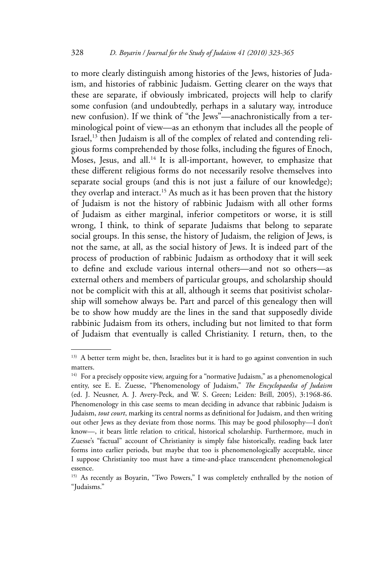to more clearly distinguish among histories of the Jews, histories of Judaism, and histories of rabbinic Judaism. Getting clearer on the ways that these are separate, if obviously imbricated, projects will help to clarify some confusion (and undoubtedly, perhaps in a salutary way, introduce new confusion). If we think of "the Jews"-anachronistically from a terminological point of view-as an ethonym that includes all the people of Israel,<sup>13</sup> then Judaism is all of the complex of related and contending religious forms comprehended by those folks, including the figures of Enoch, Moses, Jesus, and all.<sup>14</sup> It is all-important, however, to emphasize that these different religious forms do not necessarily resolve themselves into separate social groups (and this is not just a failure of our knowledge); they overlap and interact.<sup>15</sup> As much as it has been proven that the history of Judaism is not the history of rabbinic Judaism with all other forms of Judaism as either marginal, inferior competitors or worse, it is still wrong, I think, to think of separate Judaisms that belong to separate social groups. In this sense, the history of Judaism, the religion of Jews, is not the same, at all, as the social history of Jews. It is indeed part of the process of production of rabbinic Judaism as orthodoxy that it will seek to define and exclude various internal others—and not so others—as external others and members of particular groups, and scholarship should not be complicit with this at all, although it seems that positivist scholarship will somehow always be. Part and parcel of this genealogy then will be to show how muddy are the lines in the sand that supposedly divide rabbinic Judaism from its others, including but not limited to that form of Judaism that eventually is called Christianity. I return, then, to the

<sup>&</sup>lt;sup>13)</sup> A better term might be, then, Israelites but it is hard to go against convention in such matters.

<sup>&</sup>lt;sup>14)</sup> For a precisely opposite view, arguing for a "normative Judaism," as a phenomenological entity, see E. E. Zuesse, "Phenomenology of Judaism," The Encyclopaedia of Judaism (ed. J. Neusner, A. J. Avery-Peck, and W. S. Green; Leiden: Brill, 2005), 3:1968-86. Phenomenology in this case seems to mean deciding in advance that rabbinic Judaism is Judaism, tout court, marking its central norms as definitional for Judaism, and then writing out other Jews as they deviate from those norms. This may be good philosophy-I don't know-, it bears little relation to critical, historical scholarship. Furthermore, much in Zuesse's "factual" account of Christianity is simply false historically, reading back later forms into earlier periods, but maybe that too is phenomenologically acceptable, since I suppose Christianity too must have a time-and-place transcendent phenomenological essence.

<sup>&</sup>lt;sup>15)</sup> As recently as Boyarin, "Two Powers," I was completely enthralled by the notion of "Iudaisms."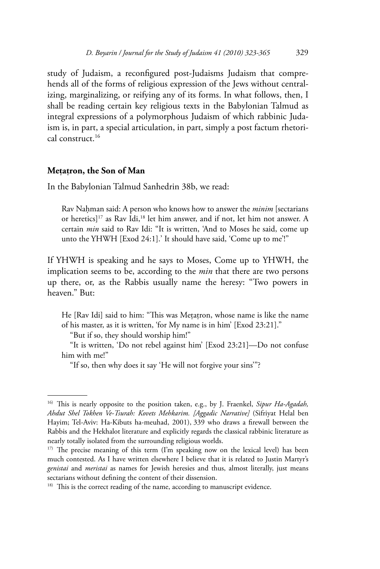study of Judaism, a reconfigured post-Judaisms Judaism that comprehends all of the forms of religious expression of the Jews without centralizing, marginalizing, or reifying any of its forms. In what follows, then, I shall be reading certain key religious texts in the Babylonian Talmud as integral expressions of a polymorphous Judaism of which rabbinic Judaism is, in part, a special articulation, in part, simply a post factum rhetorical construct<sup>16</sup>

# Metatron, the Son of Man

In the Babylonian Talmud Sanhedrin 38b, we read:

Rav Nahman said: A person who knows how to answer the *minim* [sectarians or heretics]<sup>17</sup> as Rav Idi,<sup>18</sup> let him answer, and if not, let him not answer. A certain min said to Rav Idi: "It is written, 'And to Moses he said, come up unto the YHWH [Exod 24:1].' It should have said, 'Come up to me'!"

If YHWH is speaking and he says to Moses, Come up to YHWH, the implication seems to be, according to the *min* that there are two persons up there, or, as the Rabbis usually name the heresy: "Two powers in heaven." But:

He [Rav Idi] said to him: "This was Metatron, whose name is like the name of his master, as it is written, 'for My name is in him' [Exod 23:21]."

"But if so, they should worship him!"

"It is written, 'Do not rebel against him' [Exod 23:21]—Do not confuse him with me!"

"If so, then why does it say 'He will not forgive your sins'"?

<sup>&</sup>lt;sup>16)</sup> This is nearly opposite to the position taken, e.g., by J. Fraenkel, Sipur Ha-Agadah, Ahdut Shel Tokhen Ve-Tsurah: Kovets Mehkarim. [Aggadic Narrative] (Sifriyat Helal ben Hayim; Tel-Aviv: Ha-Kibuts ha-meuhad, 2001), 339 who draws a firewall between the Rabbis and the Hekhalot literature and explicitly regards the classical rabbinic literature as nearly totally isolated from the surrounding religious worlds.

<sup>&</sup>lt;sup>17)</sup> The precise meaning of this term (I'm speaking now on the lexical level) has been much contested. As I have written elsewhere I believe that it is related to Justin Martyr's genistai and meristai as names for Jewish heresies and thus, almost literally, just means sectarians without defining the content of their dissension.

<sup>&</sup>lt;sup>18)</sup> This is the correct reading of the name, according to manuscript evidence.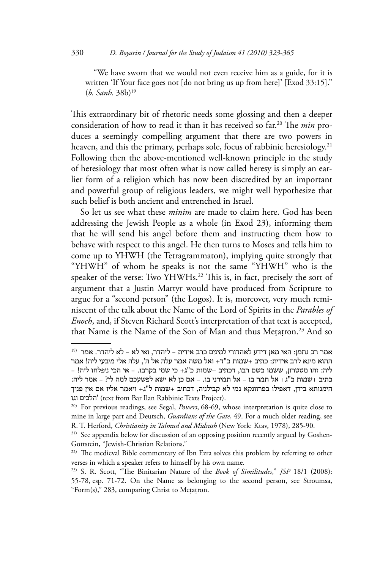"We have sworn that we would not even receive him as a guide, for it is written 'If Your face goes not [do not bring us up from here]' [Exod 33:15]."  $(h. Sanh. 38h)^{19}$ 

This extraordinary bit of rhetoric needs some glossing and then a deeper consideration of how to read it than it has received so far.<sup>20</sup> The *min* produces a seemingly compelling argument that there are two powers in heaven, and this the primary, perhaps sole, focus of rabbinic heresiology.<sup>21</sup> Following then the above-mentioned well-known principle in the study of heresiology that most often what is now called heresy is simply an earlier form of a religion which has now been discredited by an important and powerful group of religious leaders, we might well hypothesize that such belief is both ancient and entrenched in Israel.

So let us see what these *minim* are made to claim here. God has been addressing the Jewish People as a whole (in Exod 23), informing them that he will send his angel before them and instructing them how to behave with respect to this angel. He then turns to Moses and tells him to come up to YHWH (the Tetragrammaton), implying quite strongly that "YHWH" of whom he speaks is not the same "YHWH" who is the speaker of the verse: Two YHWHs.<sup>22</sup> This is, in fact, precisely the sort of argument that a Justin Martyr would have produced from Scripture to argue for a "second person" (the Logos). It is, moreover, very much reminiscent of the talk about the Name of the Lord of Spirits in the Parables of Enoch, and, if Steven Richard Scott's interpretation of that text is accepted, that Name is the Name of the Son of Man and thus Metatron.<sup>23</sup> And so

 $^{19)}$ אמר רב נחמן: האי מאן דידע לאהדורי למינים כרב אידית - ליהדר, ואי לא ההוא מינא לרב אידית: כתיב +שמות כ"ד+ ואל משה אמר עלה אל ה', עלה אלי מיבעי ליה! אמר ליה: זהו מטטרון, ששמו כשם רבו, דכתיב +שמות כ"ג+ כי שמי בקרבו. – אי הכי ניפלחו ליה! – הימנותא בידן, דאפילו בפרוונקא נמי לא קבילניה, דכתיב +שמות ל"ג+ ויאמר אליו אם אין פניך הלכים וגו (text from Bar Ilan Rabbinic Texts Project).

<sup>&</sup>lt;sup>20)</sup> For previous readings, see Segal, *Powers*, 68-69, whose interpretation is quite close to mine in large part and Deutsch, Guardians of the Gate, 49. For a much older reading, see R. T. Herford, Christianity in Talmud and Midrash (New York: Ktav, 1978), 285-90.

<sup>&</sup>lt;sup>21)</sup> See appendix below for discussion of an opposing position recently argued by Goshen-Gottstein, "Jewish-Christian Relations."

<sup>&</sup>lt;sup>22)</sup> The medieval Bible commentary of Ibn Ezra solves this problem by referring to other verses in which a speaker refers to himself by his own name.

<sup>&</sup>lt;sup>23)</sup> S. R. Scott, "The Binitarian Nature of the Book of Similitudes," JSP 18/1 (2008): 55-78, esp. 71-72. On the Name as belonging to the second person, see Stroumsa, "Form(s)," 283, comparing Christ to Metatron.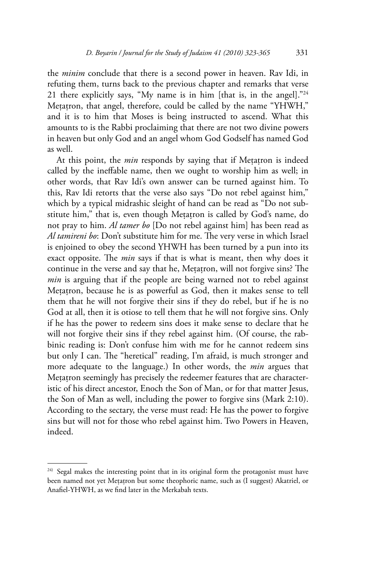the *minim* conclude that there is a second power in heaven. Rav Idi, in refuting them, turns back to the previous chapter and remarks that verse 21 there explicitly says, "My name is in him [that is, in the angel]."24 Metatron, that angel, therefore, could be called by the name "YHWH," and it is to him that Moses is being instructed to ascend. What this amounts to is the Rabbi proclaiming that there are not two divine powers in heaven but only God and an angel whom God Godself has named God as well.

At this point, the min responds by saying that if Metatron is indeed called by the ineffable name, then we ought to worship him as well; in other words, that Rav Idi's own answer can be turned against him. To this, Rav Idi retorts that the verse also says "Do not rebel against him," which by a typical midrashic sleight of hand can be read as "Do not substitute him," that is, even though Metatron is called by God's name, do not pray to him. Al tamer bo [Do not rebel against him] has been read as Al tamireni bo: Don't substitute him for me. The very verse in which Israel is enjoined to obey the second YHWH has been turned by a pun into its exact opposite. The *min* says if that is what is meant, then why does it continue in the verse and say that he, Metatron, will not forgive sins? The min is arguing that if the people are being warned not to rebel against Metatron, because he is as powerful as God, then it makes sense to tell them that he will not forgive their sins if they do rebel, but if he is no God at all, then it is otiose to tell them that he will not forgive sins. Only if he has the power to redeem sins does it make sense to declare that he will not forgive their sins if they rebel against him. (Of course, the rabbinic reading is: Don't confuse him with me for he cannot redeem sins but only I can. The "heretical" reading, I'm afraid, is much stronger and more adequate to the language.) In other words, the min argues that Metatron seemingly has precisely the redeemer features that are characteristic of his direct ancestor, Enoch the Son of Man, or for that matter Jesus, the Son of Man as well, including the power to forgive sins (Mark 2:10). According to the sectary, the verse must read: He has the power to forgive sins but will not for those who rebel against him. Two Powers in Heaven, indeed.

<sup>&</sup>lt;sup>24)</sup> Segal makes the interesting point that in its original form the protagonist must have been named not yet Metatron but some theophoric name, such as (I suggest) Akatriel, or Anafiel-YHWH, as we find later in the Merkabah texts.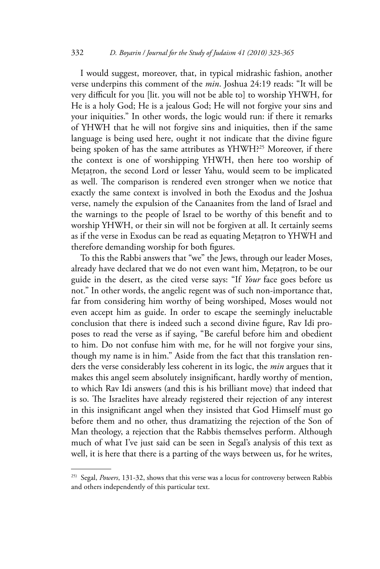I would suggest, moreover, that, in typical midrashic fashion, another verse underpins this comment of the min. Joshua 24:19 reads: "It will be very difficult for you [lit. you will not be able to] to worship YHWH, for He is a holy God; He is a jealous God; He will not forgive your sins and your iniquities." In other words, the logic would run: if there it remarks of YHWH that he will not forgive sins and iniquities, then if the same language is being used here, ought it not indicate that the divine figure being spoken of has the same attributes as YHWH?<sup>25</sup> Moreover, if there the context is one of worshipping YHWH, then here too worship of Metatron, the second Lord or lesser Yahu, would seem to be implicated as well. The comparison is rendered even stronger when we notice that exactly the same context is involved in both the Exodus and the Joshua verse, namely the expulsion of the Canaanites from the land of Israel and the warnings to the people of Israel to be worthy of this benefit and to worship YHWH, or their sin will not be forgiven at all. It certainly seems as if the verse in Exodus can be read as equating Metatron to YHWH and therefore demanding worship for both figures.

To this the Rabbi answers that "we" the Jews, through our leader Moses, already have declared that we do not even want him, Metatron, to be our guide in the desert, as the cited verse says: "If Your face goes before us not." In other words, the angelic regent was of such non-importance that, far from considering him worthy of being worshiped, Moses would not even accept him as guide. In order to escape the seemingly ineluctable conclusion that there is indeed such a second divine figure, Rav Idi proposes to read the verse as if saying, "Be careful before him and obedient to him. Do not confuse him with me, for he will not forgive your sins, though my name is in him." Aside from the fact that this translation renders the verse considerably less coherent in its logic, the min argues that it makes this angel seem absolutely insignificant, hardly worthy of mention, to which Rav Idi answers (and this is his brilliant move) that indeed that is so. The Israelites have already registered their rejection of any interest in this insignificant angel when they insisted that God Himself must go before them and no other, thus dramatizing the rejection of the Son of Man theology, a rejection that the Rabbis themselves perform. Although much of what I've just said can be seen in Segal's analysis of this text as well, it is here that there is a parting of the ways between us, for he writes,

<sup>&</sup>lt;sup>25)</sup> Segal, *Powers*, 131-32, shows that this verse was a locus for controversy between Rabbis and others independently of this particular text.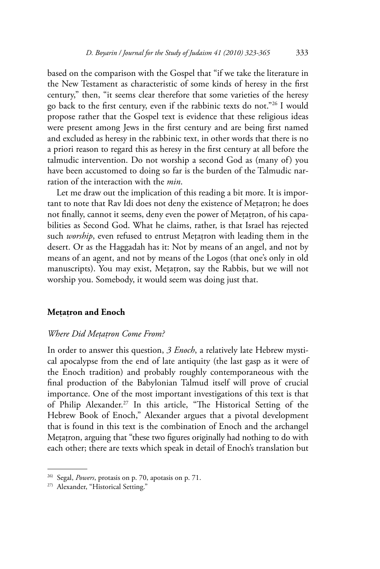based on the comparison with the Gospel that "if we take the literature in the New Testament as characteristic of some kinds of heresy in the first century," then, "it seems clear therefore that some varieties of the heresy go back to the first century, even if the rabbinic texts do not."26 I would propose rather that the Gospel text is evidence that these religious ideas were present among Jews in the first century and are being first named and excluded as heresy in the rabbinic text, in other words that there is no a priori reason to regard this as heresy in the first century at all before the talmudic intervention. Do not worship a second God as (many of) you have been accustomed to doing so far is the burden of the Talmudic narration of the interaction with the *min*.

Let me draw out the implication of this reading a bit more. It is important to note that Rav Idi does not deny the existence of Metatron; he does not finally, cannot it seems, deny even the power of Metatron, of his capabilities as Second God. What he claims, rather, is that Israel has rejected such worship, even refused to entrust Metatron with leading them in the desert. Or as the Haggadah has it: Not by means of an angel, and not by means of an agent, and not by means of the Logos (that one's only in old manuscripts). You may exist, Metatron, say the Rabbis, but we will not worship you. Somebody, it would seem was doing just that.

### **Metatron and Enoch**

## Where Did Metatron Come From?

In order to answer this question, 3 Enoch, a relatively late Hebrew mystical apocalypse from the end of late antiquity (the last gasp as it were of the Enoch tradition) and probably roughly contemporaneous with the final production of the Babylonian Talmud itself will prove of crucial importance. One of the most important investigations of this text is that of Philip Alexander.<sup>27</sup> In this article, "The Historical Setting of the Hebrew Book of Enoch," Alexander argues that a pivotal development that is found in this text is the combination of Enoch and the archangel Metatron, arguing that "these two figures originally had nothing to do with each other; there are texts which speak in detail of Enoch's translation but

<sup>&</sup>lt;sup>26)</sup> Segal, *Powers*, protasis on p. 70, apotasis on p. 71.

<sup>&</sup>lt;sup>27)</sup> Alexander, "Historical Setting."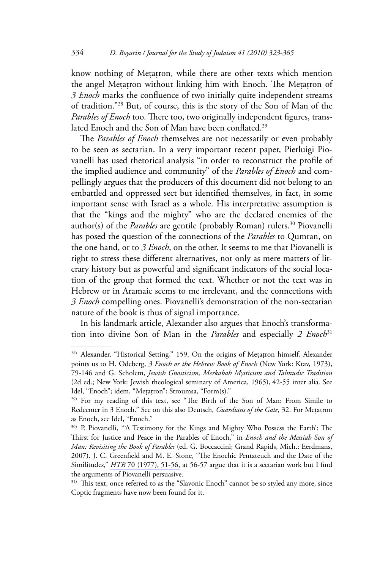know nothing of Metatron, while there are other texts which mention the angel Metatron without linking him with Enoch. The Metatron of 3 Enoch marks the confluence of two initially quite independent streams of tradition."<sup>28</sup> But, of course, this is the story of the Son of Man of the Parables of Enoch too. There too, two originally independent figures, translated Enoch and the Son of Man have been conflated.<sup>29</sup>

The *Parables of Enoch* themselves are not necessarily or even probably to be seen as sectarian. In a very important recent paper, Pierluigi Piovanelli has used rhetorical analysis "in order to reconstruct the profile of the implied audience and community" of the Parables of Enoch and compellingly argues that the producers of this document did not belong to an embattled and oppressed sect but identified themselves, in fact, in some important sense with Israel as a whole. His interpretative assumption is that the "kings and the mighty" who are the declared enemies of the author(s) of the *Parables* are gentile (probably Roman) rulers.<sup>30</sup> Piovanelli has posed the question of the connections of the *Parables* to Oumran, on the one hand, or to 3 *Enoch*, on the other. It seems to me that Piovanelli is right to stress these different alternatives, not only as mere matters of literary history but as powerful and significant indicators of the social location of the group that formed the text. Whether or not the text was in Hebrew or in Aramaic seems to me irrelevant, and the connections with 3 Enoch compelling ones. Piovanelli's demonstration of the non-sectarian nature of the book is thus of signal importance.

In his landmark article, Alexander also argues that Enoch's transformation into divine Son of Man in the Parables and especially 2 Enoch<sup>31</sup>

<sup>&</sup>lt;sup>28)</sup> Alexander, "Historical Setting," 159. On the origins of Metatron himself, Alexander points us to H. Odeberg, 3 Enoch or the Hebrew Book of Enoch (New York: Ktav, 1973), 79-146 and G. Scholem, Jewish Gnosticism, Merkabah Mysticism and Talmudic Tradition (2d ed.; New York: Jewish theological seminary of America, 1965), 42-55 inter alia. See Idel, "Enoch"; idem, "Metatron"; Stroumsa, "Form(s)."

<sup>&</sup>lt;sup>29)</sup> For my reading of this text, see "The Birth of the Son of Man: From Simile to Redeemer in 3 Enoch." See on this also Deutsch, Guardians of the Gate, 32. For Metatron as Enoch, see Idel, "Enoch."

<sup>&</sup>lt;sup>30)</sup> P. Piovanelli, "A Testimony for the Kings and Mighty Who Possess the Earth': The Thirst for Justice and Peace in the Parables of Enoch," in Enoch and the Messiah Son of Man: Revisiting the Book of Parables (ed. G. Boccaccini; Grand Rapids, Mich.: Eerdmans, 2007). J. C. Greenfield and M. E. Stone, "The Enochic Pentateuch and the Date of the Similitudes," HTR 70 (1977), 51-56, at 56-57 argue that it is a sectarian work but I find the arguments of Piovanelli persuasive.

<sup>&</sup>lt;sup>31)</sup> This text, once referred to as the "Slavonic Enoch" cannot be so styled any more, since Coptic fragments have now been found for it.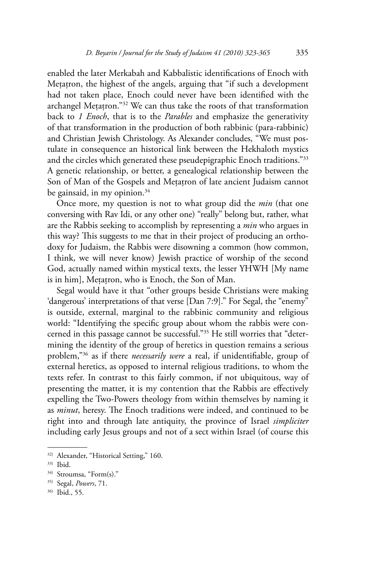enabled the later Merkabah and Kabbalistic identifications of Enoch with Metatron, the highest of the angels, arguing that "if such a development had not taken place, Enoch could never have been identified with the archangel Metatron."<sup>32</sup> We can thus take the roots of that transformation back to 1 Enoch, that is to the Parables and emphasize the generativity of that transformation in the production of both rabbinic (para-rabbinic) and Christian Jewish Christology. As Alexander concludes, "We must postulate in consequence an historical link between the Hekhaloth mystics and the circles which generated these pseudepigraphic Enoch traditions."33 A genetic relationship, or better, a genealogical relationship between the Son of Man of the Gospels and Metatron of late ancient Judaism cannot be gainsaid, in my opinion.<sup>34</sup>

Once more, my question is not to what group did the min (that one conversing with Rav Idi, or any other one) "really" belong but, rather, what are the Rabbis seeking to accomplish by representing a *min* who argues in this way? This suggests to me that in their project of producing an orthodoxy for Judaism, the Rabbis were disowning a common (how common, I think, we will never know) Jewish practice of worship of the second God, actually named within mystical texts, the lesser YHWH [My name is in him], Metatron, who is Enoch, the Son of Man.

Segal would have it that "other groups beside Christians were making 'dangerous' interpretations of that verse [Dan 7:9]." For Segal, the "enemy" is outside, external, marginal to the rabbinic community and religious world: "Identifying the specific group about whom the rabbis were concerned in this passage cannot be successful."35 He still worries that "determining the identity of the group of heretics in question remains a serious problem,"<sup>36</sup> as if there *necessarily were* a real, if unidentifiable, group of external heretics, as opposed to internal religious traditions, to whom the texts refer. In contrast to this fairly common, if not ubiquitous, way of presenting the matter, it is my contention that the Rabbis are effectively expelling the Two-Powers theology from within themselves by naming it as minut, heresy. The Enoch traditions were indeed, and continued to be right into and through late antiquity, the province of Israel simpliciter including early Jesus groups and not of a sect within Israel (of course this

<sup>&</sup>lt;sup>32)</sup> Alexander, "Historical Setting," 160.

 $33)$  Ibid.

<sup>&</sup>lt;sup>34)</sup> Stroumsa, "Form(s)."

<sup>&</sup>lt;sup>35)</sup> Segal, Powers, 71.

<sup>36)</sup> Ibid., 55.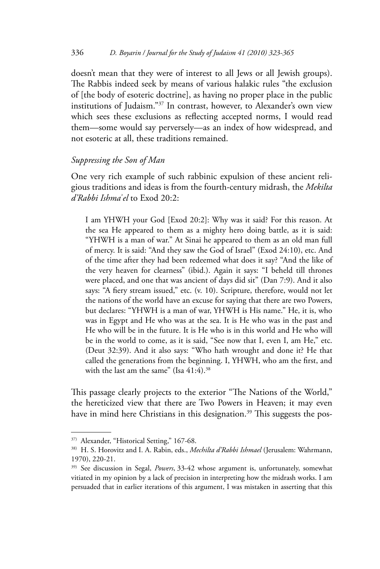doesn't mean that they were of interest to all Jews or all Jewish groups). The Rabbis indeed seek by means of various halakic rules "the exclusion of [the body of esoteric doctrine], as having no proper place in the public institutions of Judaism."<sup>37</sup> In contrast, however, to Alexander's own view which sees these exclusions as reflecting accepted norms, I would read them—some would say perversely—as an index of how widespread, and not esoteric at all, these traditions remained.

# Suppressing the Son of Man

One very rich example of such rabbinic expulsion of these ancient religious traditions and ideas is from the fourth-century midrash, the Mekilta d'Rabhi Ishma'el to Exod 20:2:

I am YHWH your God [Exod 20:2]: Why was it said? For this reason. At the sea He appeared to them as a mighty hero doing battle, as it is said: "YHWH is a man of war." At Sinai he appeared to them as an old man full of mercy. It is said: "And they saw the God of Israel" (Exod 24:10), etc. And of the time after they had been redeemed what does it say? "And the like of the very heaven for clearness" (ibid.). Again it says: "I beheld till thrones were placed, and one that was ancient of days did sit" (Dan 7:9). And it also says: "A fiery stream issued," etc. (v. 10). Scripture, therefore, would not let the nations of the world have an excuse for saying that there are two Powers, but declares: "YHWH is a man of war, YHWH is His name." He, it is, who was in Egypt and He who was at the sea. It is He who was in the past and He who will be in the future. It is He who is in this world and He who will be in the world to come, as it is said, "See now that I, even I, am He," etc. (Deut 32:39). And it also says: "Who hath wrought and done it? He that called the generations from the beginning. I, YHWH, who am the first, and with the last am the same" (Isa 41:4).<sup>38</sup>

This passage clearly projects to the exterior "The Nations of the World," the hereticized view that there are Two Powers in Heaven; it may even have in mind here Christians in this designation.<sup>39</sup> This suggests the pos-

<sup>&</sup>lt;sup>37)</sup> Alexander, "Historical Setting," 167-68.

<sup>&</sup>lt;sup>38)</sup> H. S. Horovitz and I. A. Rabin, eds., *Mechilta d'Rabbi Ishmael* (Jerusalem: Wahrmann, 1970), 220-21.

<sup>&</sup>lt;sup>39)</sup> See discussion in Segal, *Powers*, 33-42 whose argument is, unfortunately, somewhat vitiated in my opinion by a lack of precision in interpreting how the midrash works. I am persuaded that in earlier iterations of this argument, I was mistaken in asserting that this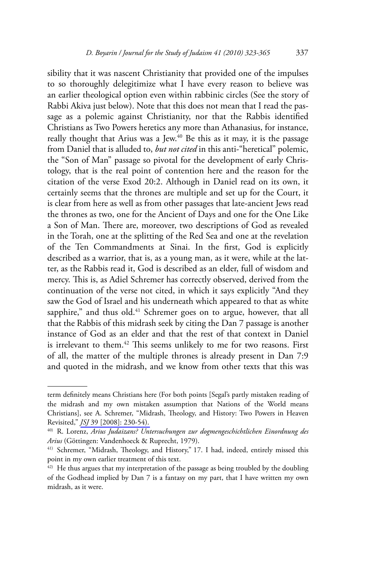sibility that it was nascent Christianity that provided one of the impulses to so thoroughly delegitimize what I have every reason to believe was an earlier theological option even within rabbinic circles (See the story of Rabbi Akiva just below). Note that this does not mean that I read the passage as a polemic against Christianity, nor that the Rabbis identified Christians as Two Powers heretics any more than Athanasius, for instance, really thought that Arius was a Jew.<sup>40</sup> Be this as it may, it is the passage from Daniel that is alluded to, but not cited in this anti-"heretical" polemic, the "Son of Man" passage so pivotal for the development of early Christology, that is the real point of contention here and the reason for the citation of the verse Exod 20:2. Although in Daniel read on its own, it certainly seems that the thrones are multiple and set up for the Court, it is clear from here as well as from other passages that late-ancient Jews read the thrones as two, one for the Ancient of Days and one for the One Like a Son of Man. There are, moreover, two descriptions of God as revealed in the Torah, one at the splitting of the Red Sea and one at the revelation of the Ten Commandments at Sinai. In the first, God is explicitly described as a warrior, that is, as a young man, as it were, while at the latter, as the Rabbis read it, God is described as an elder, full of wisdom and mercy. This is, as Adiel Schremer has correctly observed, derived from the continuation of the verse not cited, in which it says explicitly "And they saw the God of Israel and his underneath which appeared to that as white sapphire," and thus old.<sup>41</sup> Schremer goes on to argue, however, that all that the Rabbis of this midrash seek by citing the Dan 7 passage is another instance of God as an elder and that the rest of that context in Daniel is irrelevant to them.<sup>42</sup> This seems unlikely to me for two reasons. First of all, the matter of the multiple thrones is already present in Dan 7:9 and quoted in the midrash, and we know from other texts that this was

term definitely means Christians here (For both points [Segal's partly mistaken reading of the midrash and my own mistaken assumption that Nations of the World means Christians], see A. Schremer, "Midrash, Theology, and History: Two Powers in Heaven Revisited," JSJ 39 [2008]: 230-54).

<sup>40)</sup> R. Lorenz, Arius Judaizans? Untersuchungen zur dogmengeschichtlichen Einordnung des Arius (Göttingen: Vandenhoeck & Ruprecht, 1979).

<sup>&</sup>lt;sup>41)</sup> Schremer, "Midrash, Theology, and History," 17. I had, indeed, entirely missed this point in my own earlier treatment of this text.

 $42)$  He thus argues that my interpretation of the passage as being troubled by the doubling of the Godhead implied by Dan 7 is a fantasy on my part, that I have written my own midrash, as it were.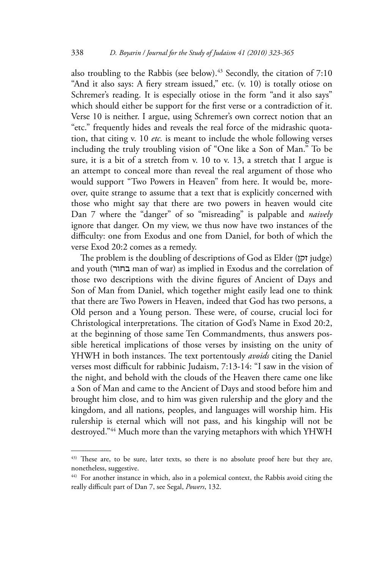also troubling to the Rabbis (see below).<sup>43</sup> Secondly, the citation of 7:10 "And it also says: A fiery stream issued," etc. (v. 10) is totally otiose on Schremer's reading. It is especially otiose in the form "and it also says" which should either be support for the first verse or a contradiction of it. Verse 10 is neither. I argue, using Schremer's own correct notion that an "etc." frequently hides and reveals the real force of the midrashic quotation, that citing v. 10 etc. is meant to include the whole following verses including the truly troubling vision of "One like a Son of Man." To be sure, it is a bit of a stretch from v. 10 to v. 13, a stretch that I argue is an attempt to conceal more than reveal the real argument of those who would support "Two Powers in Heaven" from here. It would be, moreover, quite strange to assume that a text that is explicitly concerned with those who might say that there are two powers in heaven would cite Dan 7 where the "danger" of so "misreading" is palpable and naively ignore that danger. On my view, we thus now have two instances of the difficulty: one from Exodus and one from Daniel, for both of which the verse Exod 20:2 comes as a remedy.

The problem is the doubling of descriptions of God as Elder (17) judge) and youth (בחור man of war) as implied in Exodus and the correlation of those two descriptions with the divine figures of Ancient of Days and Son of Man from Daniel, which together might easily lead one to think that there are Two Powers in Heaven, indeed that God has two persons, a Old person and a Young person. These were, of course, crucial loci for Christological interpretations. The citation of God's Name in Exod 20:2, at the beginning of those same Ten Commandments, thus answers possible heretical implications of those verses by insisting on the unity of YHWH in both instances. The text portentously avoids citing the Daniel verses most difficult for rabbinic Judaism, 7:13-14: "I saw in the vision of the night, and behold with the clouds of the Heaven there came one like a Son of Man and came to the Ancient of Days and stood before him and brought him close, and to him was given rulership and the glory and the kingdom, and all nations, peoples, and languages will worship him. His rulership is eternal which will not pass, and his kingship will not be destroyed."<sup>44</sup> Much more than the varying metaphors with which YHWH

<sup>&</sup>lt;sup>43)</sup> These are, to be sure, later texts, so there is no absolute proof here but they are, nonetheless, suggestive.

<sup>&</sup>lt;sup>44)</sup> For another instance in which, also in a polemical context, the Rabbis avoid citing the really difficult part of Dan 7, see Segal, Powers, 132.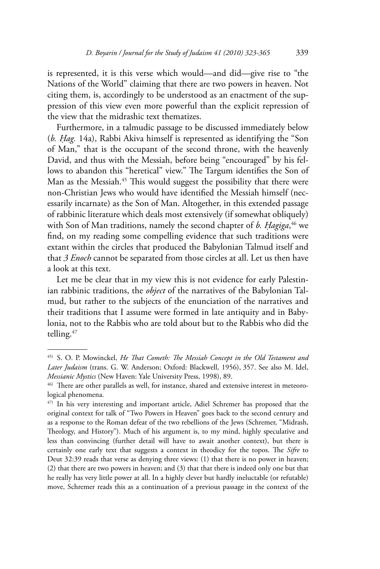is represented, it is this verse which would—and did—give rise to "the Nations of the World" claiming that there are two powers in heaven. Not citing them, is, accordingly to be understood as an enactment of the suppression of this view even more powerful than the explicit repression of the view that the midrashic text thematizes.

Furthermore, in a talmudic passage to be discussed immediately below  $(b. Haq. 14a)$ , Rabbi Akiva himself is represented as identifying the "Son of Man," that is the occupant of the second throne, with the heavenly David, and thus with the Messiah, before being "encouraged" by his fellows to abandon this "heretical" view." The Targum identifies the Son of Man as the Messiah.<sup>45</sup> This would suggest the possibility that there were non-Christian Jews who would have identified the Messiah himself (necessarily incarnate) as the Son of Man. Altogether, in this extended passage of rabbinic literature which deals most extensively (if somewhat obliquely) with Son of Man traditions, namely the second chapter of *b. Hagiga*,<sup>46</sup> we find, on my reading some compelling evidence that such traditions were extant within the circles that produced the Babylonian Talmud itself and that 3 Enoch cannot be separated from those circles at all. Let us then have a look at this text.

Let me be clear that in my view this is not evidence for early Palestinian rabbinic traditions, the *object* of the narratives of the Babylonian Talmud, but rather to the subjects of the enunciation of the narratives and their traditions that I assume were formed in late antiquity and in Babylonia, not to the Rabbis who are told about but to the Rabbis who did the telling.<sup>47</sup>

<sup>45)</sup> S. O. P. Mowinckel, He That Cometh: The Messiah Concept in the Old Testament and Later Judaism (trans. G. W. Anderson; Oxford: Blackwell, 1956), 357. See also M. Idel, Messianic Mystics (New Haven: Yale University Press, 1998), 89.

<sup>&</sup>lt;sup>46)</sup> There are other parallels as well, for instance, shared and extensive interest in meteorological phenomena.

<sup>&</sup>lt;sup>47)</sup> In his very interesting and important article, Adiel Schremer has proposed that the original context for talk of "Two Powers in Heaven" goes back to the second century and as a response to the Roman defeat of the two rebellions of the Jews (Schremer, "Midrash, Theology, and History"). Much of his argument is, to my mind, highly speculative and less than convincing (further detail will have to await another context), but there is certainly one early text that suggests a context in theodicy for the topos. The Sifre to Deut 32:39 reads that verse as denying three views: (1) that there is no power in heaven; (2) that there are two powers in heaven; and (3) that that there is indeed only one but that he really has very little power at all. In a highly clever but hardly ineluctable (or refutable) move, Schremer reads this as a continuation of a previous passage in the context of the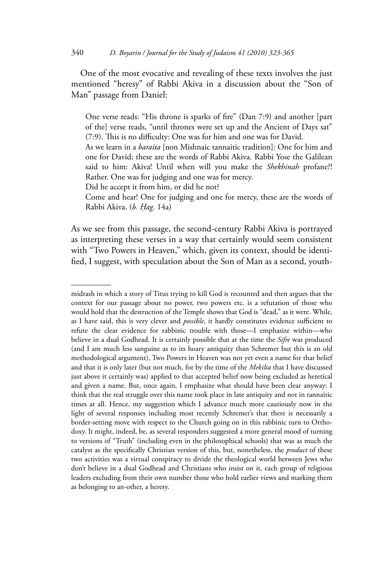One of the most evocative and revealing of these texts involves the just mentioned "heresy" of Rabbi Akiva in a discussion about the "Son of Man" passage from Daniel:

One verse reads: "His throne is sparks of fire" (Dan 7:9) and another [part of the] verse reads, "until thrones were set up and the Ancient of Days sat" (7:9). This is no difficulty: One was for him and one was for David.

As we learn in a *baraita* [non Mishnaic tannaitic tradition]: One for him and one for David; these are the words of Rabbi Akiva. Rabbi Yose the Galilean said to him: Akiva! Until when will you make the Shekhinah profane?! Rather. One was for judging and one was for mercy.

Did he accept it from him, or did he not?

Come and hear! One for judging and one for mercy, these are the words of Rabbi Akiva. (b. Hag. 14a)

As we see from this passage, the second-century Rabbi Akiva is portrayed as interpreting these verses in a way that certainly would seem consistent with "Two Powers in Heaven," which, given its context, should be identified, I suggest, with speculation about the Son of Man as a second, youth-

midrash in which a story of Titus trying to kill God is recounted and then argues that the context for our passage about no power, two powers etc. is a refutation of those who would hold that the destruction of the Temple shows that God is "dead," as it were. While, as I have said, this is very clever and *possible*, it hardly constitutes evidence sufficient to refute the clear evidence for rabbinic trouble with those—I emphasize within—who believe in a dual Godhead. It is certainly possible that at the time the Sifre was produced (and I am much less sanguine as to its hoary antiquity than Schremer but this is an old methodological argument), Two Powers in Heaven was not yet even a name for that belief and that it is only later (but not much, for by the time of the Mekilta that I have discussed just above it certainly was) applied to that accepted belief now being excluded as heretical and given a name. But, once again, I emphasize what should have been clear anyway: I think that the real struggle over this name took place in late antiquity and not in tannaitic times at all. Hence, my suggestion which I advance much more cautiously now in the light of several responses including most recently Schremer's that there is necessarily a border-setting move with respect to the Church going on in this rabbinic turn to Orthodoxy. It might, indeed, be, as several responders suggested a more general mood of turning to versions of "Truth" (including even in the philosophical schools) that was as much the catalyst as the specifically Christian version of this, but, nonetheless, the *product* of these two activities was a virtual conspiracy to divide the theological world between Jews who don't believe in a dual Godhead and Christians who insist on it, each group of religious leaders excluding from their own number those who hold earlier views and marking them as belonging to an-other, a heresy.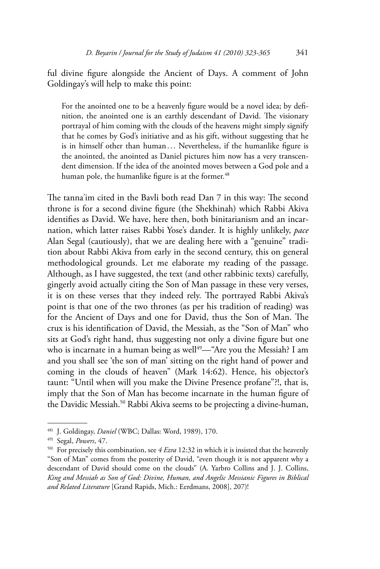ful divine figure alongside the Ancient of Days. A comment of John Goldingay's will help to make this point:

For the anointed one to be a heavenly figure would be a novel idea; by definition, the anointed one is an earthly descendant of David. The visionary portrayal of him coming with the clouds of the heavens might simply signify that he comes by God's initiative and as his gift, without suggesting that he is in himself other than human... Nevertheless, if the humanlike figure is the anointed, the anointed as Daniel pictures him now has a very transcendent dimension. If the idea of the anointed moves between a God pole and a human pole, the humanlike figure is at the former.<sup>48</sup>

The tanna'im cited in the Bavli both read Dan 7 in this way: The second throne is for a second divine figure (the Shekhinah) which Rabbi Akiva identifies as David. We have, here then, both binitarianism and an incarnation, which latter raises Rabbi Yose's dander. It is highly unlikely, pace Alan Segal (cautiously), that we are dealing here with a "genuine" tradition about Rabbi Akiva from early in the second century, this on general methodological grounds. Let me elaborate my reading of the passage. Although, as I have suggested, the text (and other rabbinic texts) carefully, gingerly avoid actually citing the Son of Man passage in these very verses, it is on these verses that they indeed rely. The portrayed Rabbi Akiva's point is that one of the two thrones (as per his tradition of reading) was for the Ancient of Days and one for David, thus the Son of Man. The crux is his identification of David, the Messiah, as the "Son of Man" who sits at God's right hand, thus suggesting not only a divine figure but one who is incarnate in a human being as well<sup>49</sup>—"Are you the Messiah? I am and you shall see 'the son of man' sitting on the right hand of power and coming in the clouds of heaven" (Mark 14:62). Hence, his objector's taunt: "Until when will you make the Divine Presence profane"?!, that is, imply that the Son of Man has become incarnate in the human figure of the Davidic Messiah.<sup>50</sup> Rabbi Akiva seems to be projecting a divine-human,

<sup>48)</sup> J. Goldingay, Daniel (WBC; Dallas: Word, 1989), 170.

<sup>&</sup>lt;sup>49)</sup> Segal, Powers, 47.

<sup>&</sup>lt;sup>50)</sup> For precisely this combination, see  $4$  Ezra 12:32 in which it is insisted that the heavenly "Son of Man" comes from the posterity of David, "even though it is not apparent why a descendant of David should come on the clouds" (A. Yarbro Collins and J. J. Collins, King and Messiah as Son of God: Divine, Human, and Angelic Messianic Figures in Biblical and Related Literature [Grand Rapids, Mich.: Eerdmans, 2008], 207)!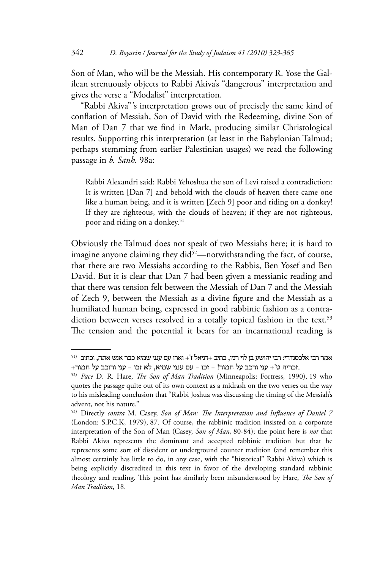Son of Man, who will be the Messiah. His contemporary R. Yose the Galilean strenuously objects to Rabbi Akiva's "dangerous" interpretation and gives the verse a "Modalist" interpretation.

"Rabbi Akiva"'s interpretation grows out of precisely the same kind of conflation of Messiah, Son of David with the Redeeming, divine Son of Man of Dan 7 that we find in Mark, producing similar Christological results. Supporting this interpretation (at least in the Babylonian Talmud; perhaps stemming from earlier Palestinian usages) we read the following passage in b. Sanh. 98a:

Rabbi Alexandri said: Rabbi Yehoshua the son of Levi raised a contradiction: It is written [Dan 7] and behold with the clouds of heaven there came one like a human being, and it is written [Zech 9] poor and riding on a donkey! If they are righteous, with the clouds of heaven; if they are not righteous, poor and riding on a donkey.<sup>51</sup>

Obviously the Talmud does not speak of two Messiahs here; it is hard to imagine anyone claiming they did<sup>52</sup>—notwithstanding the fact, of course, that there are two Messiahs according to the Rabbis, Ben Yosef and Ben David. But it is clear that Dan 7 had been given a messianic reading and that there was tension felt between the Messiah of Dan 7 and the Messiah of Zech 9, between the Messiah as a divine figure and the Messiah as a humiliated human being, expressed in good rabbinic fashion as a contradiction between verses resolved in a totally topical fashion in the text.<sup>53</sup> The tension and the potential it bears for an incarnational reading is

אמר רבי אלכסנדרי: רבי יהושע בן לוי רמי, כתיב +דניאל ז'+ וארו עם ענני שמיא כבר אנש אתה, וכתיב <sup>וו</sup> - זכריה ט'+ עני ורכב על חמור! - זכו - עם ענני שמיא, לא זכו - עני ורוכב על חמור.

<sup>&</sup>lt;sup>52)</sup> Pace D. R. Hare, *The Son of Man Tradition* (Minneapolis: Fortress, 1990), 19 who quotes the passage quite out of its own context as a midrash on the two verses on the way to his misleading conclusion that "Rabbi Joshua was discussing the timing of the Messiah's advent, not his nature."

<sup>53)</sup> Directly contra M. Casey, Son of Man: The Interpretation and Influence of Daniel 7 (London: S.P.C.K, 1979), 87. Of course, the rabbinic tradition insisted on a corporate interpretation of the Son of Man (Casey, Son of Man, 80-84); the point here is not that Rabbi Akiva represents the dominant and accepted rabbinic tradition but that he represents some sort of dissident or underground counter tradition (and remember this almost certainly has little to do, in any case, with the "historical" Rabbi Akiva) which is being explicitly discredited in this text in favor of the developing standard rabbinic theology and reading. This point has similarly been misunderstood by Hare, The Son of Man Tradition, 18.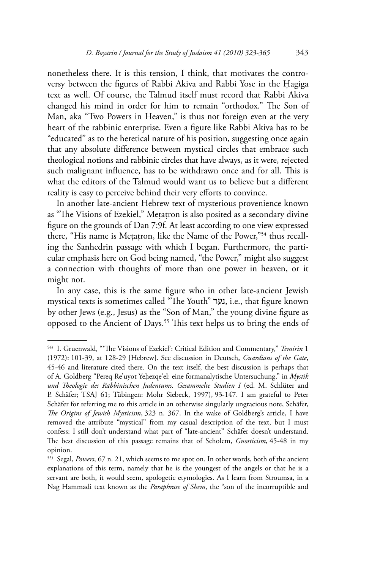nonetheless there. It is this tension, I think, that motivates the controversy between the figures of Rabbi Akiva and Rabbi Yose in the Hagiga text as well. Of course, the Talmud itself must record that Rabbi Akiva changed his mind in order for him to remain "orthodox." The Son of Man, aka "Two Powers in Heaven," is thus not foreign even at the very heart of the rabbinic enterprise. Even a figure like Rabbi Akiva has to be "educated" as to the heretical nature of his position, suggesting once again that any absolute difference between mystical circles that embrace such theological notions and rabbinic circles that have always, as it were, rejected such malignant influence, has to be withdrawn once and for all. This is what the editors of the Talmud would want us to believe but a different reality is easy to perceive behind their very efforts to convince.

In another late-ancient Hebrew text of mysterious provenience known as "The Visions of Ezekiel," Metatron is also posited as a secondary divine figure on the grounds of Dan 7:9f. At least according to one view expressed there, "His name is Metatron, like the Name of the Power,"<sup>54</sup> thus recalling the Sanhedrin passage with which I began. Furthermore, the particular emphasis here on God being named, "the Power," might also suggest a connection with thoughts of more than one power in heaven, or it might not.

In any case, this is the same figure who in other late-ancient Jewish mystical texts is sometimes called "The Youth" נער. i.e., that figure known by other Jews (e.g., Jesus) as the "Son of Man," the young divine figure as opposed to the Ancient of Days.<sup>55</sup> This text helps us to bring the ends of

<sup>&</sup>lt;sup>54)</sup> I. Gruenwald, "'The Visions of Ezekiel': Critical Edition and Commentary," Temirin 1 (1972): 101-39, at 128-29 [Hebrew]. See discussion in Deutsch, Guardians of the Gate, 45-46 and literature cited there. On the text itself, the best discussion is perhaps that of A. Goldberg "Pereq Re'uyot Yehezqe'el: eine formanalytische Untersuchung," in Mystik und Theologie des Rabbinischen Judentums. Gesammelte Studien I (ed. M. Schlüter and P. Schäfer; TSAJ 61; Tübingen: Mohr Siebeck, 1997), 93-147. I am grateful to Peter Schäfer for referring me to this article in an otherwise singularly ungracious note, Schäfer, The Origins of Jewish Mysticism, 323 n. 367. In the wake of Goldberg's article, I have removed the attribute "mystical" from my casual description of the text, but I must confess: I still don't understand what part of "late-ancient" Schäfer doesn't understand. The best discussion of this passage remains that of Scholem, *Gnosticism*, 45-48 in my opinion.

<sup>55)</sup> Segal, Powers, 67 n. 21, which seems to me spot on. In other words, both of the ancient explanations of this term, namely that he is the youngest of the angels or that he is a servant are both, it would seem, apologetic etymologies. As I learn from Stroumsa, in a Nag Hammadi text known as the Paraphrase of Shem, the "son of the incorruptible and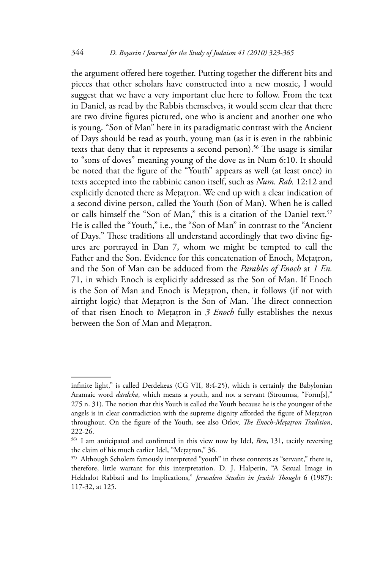the argument offered here together. Putting together the different bits and pieces that other scholars have constructed into a new mosaic, I would suggest that we have a very important clue here to follow. From the text in Daniel, as read by the Rabbis themselves, it would seem clear that there are two divine figures pictured, one who is ancient and another one who is young. "Son of Man" here in its paradigmatic contrast with the Ancient of Days should be read as youth, young man (as it is even in the rabbinic texts that deny that it represents a second person).<sup>56</sup> The usage is similar to "sons of doves" meaning young of the dove as in Num 6:10. It should be noted that the figure of the "Youth" appears as well (at least once) in texts accepted into the rabbinic canon itself, such as Num. Rab. 12:12 and explicitly denoted there as Metatron. We end up with a clear indication of a second divine person, called the Youth (Son of Man). When he is called or calls himself the "Son of Man," this is a citation of the Daniel text.<sup>57</sup> He is called the "Youth," i.e., the "Son of Man" in contrast to the "Ancient" of Days." These traditions all understand accordingly that two divine figures are portrayed in Dan 7, whom we might be tempted to call the Father and the Son. Evidence for this concatenation of Enoch, Metatron, and the Son of Man can be adduced from the Parables of Enoch at 1 En. 71, in which Enoch is explicitly addressed as the Son of Man. If Enoch is the Son of Man and Enoch is Metatron, then, it follows (if not with airtight logic) that Metatron is the Son of Man. The direct connection of that risen Enoch to Metatron in 3 Enoch fully establishes the nexus between the Son of Man and Metatron.

infinite light," is called Derdekeas (CG VII, 8:4-25), which is certainly the Babylonian Aramaic word *dardeka*, which means a youth, and not a servant (Stroumsa, "Form[s]," 275 n. 31). The notion that this Youth is called the Youth because he is the youngest of the angels is in clear contradiction with the supreme dignity afforded the figure of Metatron throughout. On the figure of the Youth, see also Orlov, The Enoch-Metatron Tradition,  $222 - 26$ 

<sup>&</sup>lt;sup>56)</sup> I am anticipated and confirmed in this view now by Idel, *Ben*, 131, tacitly reversing the claim of his much earlier Idel, "Metatron," 36.

<sup>57)</sup> Although Scholem famously interpreted "youth" in these contexts as "servant," there is, therefore, little warrant for this interpretation. D. J. Halperin, "A Sexual Image in Hekhalot Rabbati and Its Implications," Jerusalem Studies in Jewish Thought 6 (1987): 117-32, at 125.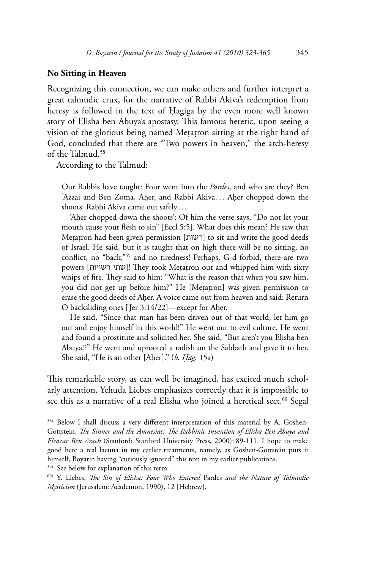#### No Sitting in Heaven

Recognizing this connection, we can make others and further interpret a great talmudic crux, for the narrative of Rabbi Akiva's redemption from heresy is followed in the text of Hagiga by the even more well known story of Elisha ben Abuya's apostasy. This famous heretic, upon seeing a vision of the glorious being named Metatron sitting at the right hand of God, concluded that there are "Two powers in heaven," the arch-heresy of the Talmud.<sup>58</sup>

According to the Talmud:

Our Rabbis have taught: Four went into the Pardes, and who are they? Ben 'Azzai and Ben Zoma, Aher, and Rabbi Akiva... Aher chopped down the shoots. Rabbi Akiva came out safely...

'Aher chopped down the shoots': Of him the verse says, "Do not let your mouth cause your flesh to sin" [Eccl 5:5]. What does this mean? He saw that Metatron had been given permission [רשות] to sit and write the good deeds of Israel. He said, but it is taught that on high there will be no sitting, no conflict, no "back,"59 and no tiredness! Perhaps, G-d forbid, there are two powers [שתי רשויות]! They took Metatron out and whipped him with sixty whips of fire. They said to him: "What is the reason that when you saw him, you did not get up before him?" He [Metatron] was given permission to erase the good deeds of Aher. A voice came out from heaven and said: Return O backsliding ones [Jer 3:14/22]-except for Aher.

He said, "Since that man has been driven out of that world, let him go out and enjoy himself in this world!" He went out to evil culture. He went and found a prostitute and solicited her. She said, "But aren't you Elisha ben Abuya!?" He went and uprooted a radish on the Sabbath and gave it to her. She said, "He is an other [Aher]." (b. Hag. 15a)

This remarkable story, as can well be imagined, has excited much scholarly attention. Yehuda Liebes emphasizes correctly that it is impossible to see this as a narrative of a real Elisha who joined a heretical sect.<sup>60</sup> Segal

<sup>&</sup>lt;sup>58)</sup> Below I shall discuss a very different interpretation of this material by A. Goshen-Gottstein, The Sinner and the Amnesiac: The Rabbinic Invention of Elisha Ben Abuya and Eleazar Ben Arach (Stanford: Stanford University Press, 2000): 89-111. I hope to make good here a real lacuna in my earlier treatments, namely, as Goshen-Gottstein puts it himself, Boyarin having "curiously ignored" this text in my earlier publications.

<sup>&</sup>lt;sup>59)</sup> See below for explanation of this term.

<sup>&</sup>lt;sup>60)</sup> Y. Liebes, *The Sin of Elisha: Four Who Entered Pardes and the Nature of Talmudic* Mysticism (Jerusalem: Academon, 1990), 12 [Hebrew].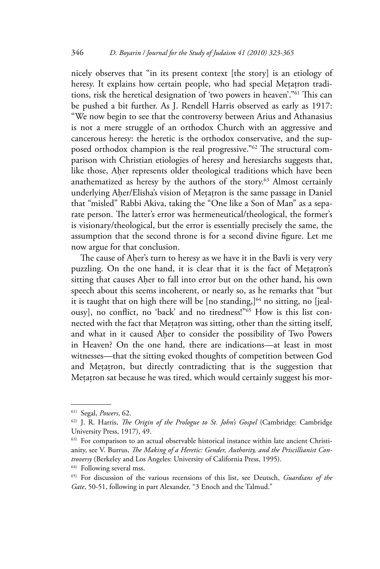nicely observes that "in its present context [the story] is an etiology of heresy. It explains how certain people, who had special Metatron traditions, risk the heretical designation of 'two powers in heaven'."<sup>61</sup> This can be pushed a bit further. As I. Rendell Harris observed as early as 1917: "We now begin to see that the controversy between Arius and Athanasius is not a mere struggle of an orthodox Church with an aggressive and cancerous heresy: the heretic is the orthodox conservative, and the supposed orthodox champion is the real progressive."<sup>62</sup> The structural comparison with Christian etiologies of heresy and heresiarchs suggests that, like those, Aher represents older theological traditions which have been anathematized as heresy by the authors of the story.<sup>63</sup> Almost certainly underlying Aher/Elisha's vision of Metatron is the same passage in Daniel that "misled" Rabbi Akiva, taking the "One like a Son of Man" as a separate person. The latter's error was hermeneutical/theological, the former's is visionary/theological, but the error is essentially precisely the same, the assumption that the second throne is for a second divine figure. Let me now argue for that conclusion.

The cause of Aher's turn to heresy as we have it in the Bavli is very very puzzling. On the one hand, it is clear that it is the fact of Metatron's sitting that causes Aher to fall into error but on the other hand, his own speech about this seems incoherent, or nearly so, as he remarks that "but it is taught that on high there will be [no standing,]<sup>64</sup> no sitting, no [jealousyl, no conflict, no 'back' and no tiredness!"<sup>65</sup> How is this list connected with the fact that Metatron was sitting, other than the sitting itself, and what in it caused Aher to consider the possibility of Two Powers in Heaven? On the one hand, there are indications—at least in most witnesses—that the sitting evoked thoughts of competition between God and Metatron, but directly contradicting that is the suggestion that Metatron sat because he was tired, which would certainly suggest his mor-

<sup>64)</sup> Following several mss.

<sup>&</sup>lt;sup>61)</sup> Segal, Powers, 62.

<sup>&</sup>lt;sup>62)</sup> J. R. Harris, *The Origin of the Prologue to St. John's Gospel* (Cambridge: Cambridge University Press, 1917), 49.

<sup>&</sup>lt;sup>63)</sup> For comparison to an actual observable historical instance within late ancient Christianity, see V. Burrus, The Making of a Heretic: Gender, Authority, and the Priscillianist Controversy (Berkeley and Los Angeles: University of California Press, 1995).

<sup>&</sup>lt;sup>65)</sup> For discussion of the various recensions of this list, see Deutsch, Guardians of the Gate, 50-51, following in part Alexander, "3 Enoch and the Talmud."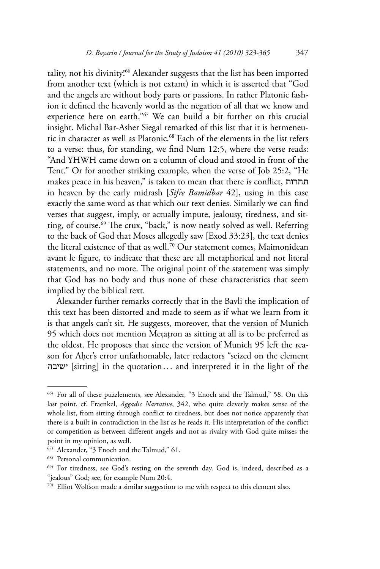tality, not his divinity!<sup>66</sup> Alexander suggests that the list has been imported from another text (which is not extant) in which it is asserted that "God and the angels are without body parts or passions. In rather Platonic fashion it defined the heavenly world as the negation of all that we know and experience here on earth."<sup>67</sup> We can build a bit further on this crucial insight. Michal Bar-Asher Siegal remarked of this list that it is hermeneutic in character as well as Platonic.<sup>68</sup> Each of the elements in the list refers to a verse: thus, for standing, we find Num 12:5, where the verse reads: "And YHWH came down on a column of cloud and stood in front of the Tent." Or for another striking example, when the verse of Job 25:2, "He makes peace in his heaven," is taken to mean that there is conflict, חחרות in heaven by the early midrash [Sifre Bamidbar 42], using in this case exactly the same word as that which our text denies. Similarly we can find verses that suggest, imply, or actually impute, jealousy, tiredness, and sitting, of course.<sup>69</sup> The crux, "back," is now neatly solved as well. Referring to the back of God that Moses allegedly saw [Exod 33:23], the text denies the literal existence of that as well.<sup>70</sup> Our statement comes, Maimonidean avant le figure, to indicate that these are all metaphorical and not literal statements, and no more. The original point of the statement was simply that God has no body and thus none of these characteristics that seem implied by the biblical text.

Alexander further remarks correctly that in the Bavli the implication of this text has been distorted and made to seem as if what we learn from it is that angels can't sit. He suggests, moreover, that the version of Munich 95 which does not mention Metatron as sitting at all is to be preferred as the oldest. He proposes that since the version of Munich 95 left the reason for Aher's error unfathomable, later redactors "seized on the element ישיבה [sitting] in the quotation... and interpreted it in the light of the

<sup>&</sup>lt;sup>66</sup> For all of these puzzlements, see Alexander, "3 Enoch and the Talmud," 58. On this last point, cf. Fraenkel, Aggadic Narrative, 342, who quite cleverly makes sense of the whole list, from sitting through conflict to tiredness, but does not notice apparently that there is a built in contradiction in the list as he reads it. His interpretation of the conflict or competition as between different angels and not as rivalry with God quite misses the point in my opinion, as well.

<sup>&</sup>lt;sup>67)</sup> Alexander, "3 Enoch and the Talmud," 61.

<sup>&</sup>lt;sup>68)</sup> Personal communication.

<sup>&</sup>lt;sup>69)</sup> For tiredness, see God's resting on the seventh day. God is, indeed, described as a "jealous" God; see, for example Num 20:4.

<sup>70)</sup> Elliot Wolfson made a similar suggestion to me with respect to this element also.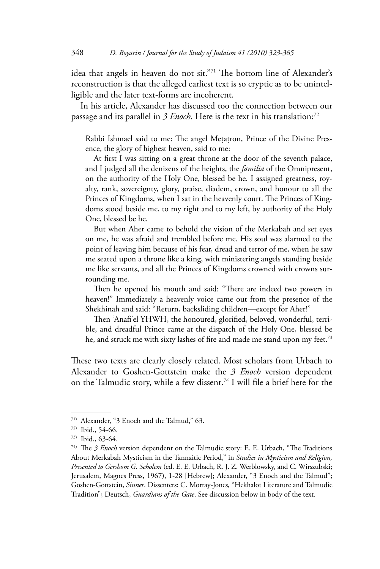idea that angels in heaven do not sit."71 The bottom line of Alexander's reconstruction is that the alleged earliest text is so cryptic as to be unintelligible and the later text-forms are incoherent.

In his article, Alexander has discussed too the connection between our passage and its parallel in 3 Enoch. Here is the text in his translation:72

Rabbi Ishmael said to me: The angel Metatron, Prince of the Divine Presence, the glory of highest heaven, said to me:

At first I was sitting on a great throne at the door of the seventh palace, and I judged all the denizens of the heights, the *familia* of the Omnipresent, on the authority of the Holy One, blessed be he. I assigned greatness, royalty, rank, sovereignty, glory, praise, diadem, crown, and honour to all the Princes of Kingdoms, when I sat in the heavenly court. The Princes of Kingdoms stood beside me, to my right and to my left, by authority of the Holy One, blessed be he.

But when Aher came to behold the vision of the Merkabah and set eyes on me, he was afraid and trembled before me. His soul was alarmed to the point of leaving him because of his fear, dread and terror of me, when he saw me seated upon a throne like a king, with ministering angels standing beside me like servants, and all the Princes of Kingdoms crowned with crowns surrounding me.

Then he opened his mouth and said: "There are indeed two powers in heaven!" Immediately a heavenly voice came out from the presence of the Shekhinah and said: "Return, backsliding children-except for Aher!"

Then 'Anafi'el YHWH, the honoured, glorified, beloved, wonderful, terrible, and dreadful Prince came at the dispatch of the Holy One, blessed be he, and struck me with sixty lashes of fire and made me stand upon my feet.<sup>73</sup>

These two texts are clearly closely related. Most scholars from Urbach to Alexander to Goshen-Gottstein make the 3 Enoch version dependent on the Talmudic story, while a few dissent.<sup>74</sup> I will file a brief here for the

<sup>&</sup>lt;sup>71)</sup> Alexander, "3 Enoch and the Talmud," 63.

<sup>72)</sup> Ibid., 54-66.

<sup>73)</sup> Ibid., 63-64.

<sup>&</sup>lt;sup>74)</sup> The 3 *Enoch* version dependent on the Talmudic story: E. E. Urbach, "The Traditions About Merkabah Mysticism in the Tannaitic Period," in Studies in Mysticism and Religion, Presented to Gershom G. Scholem (ed. E. E. Urbach, R. J. Z. Werblowsky, and C. Wirszubski; Jerusalem, Magnes Press, 1967), 1-28 [Hebrew]; Alexander, "3 Enoch and the Talmud"; Goshen-Gottstein, Sinner. Dissenters: C. Morray-Jones, "Hekhalot Literature and Talmudic Tradition"; Deutsch, Guardians of the Gate. See discussion below in body of the text.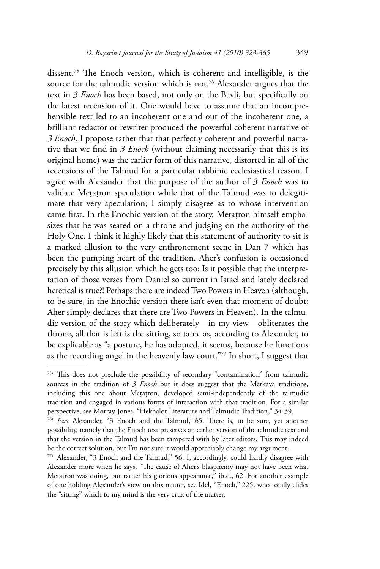dissent.<sup>75</sup> The Enoch version, which is coherent and intelligible, is the source for the talmudic version which is not.<sup>76</sup> Alexander argues that the text in 3 Enoch has been based, not only on the Bavli, but specifically on the latest recension of it. One would have to assume that an incomprehensible text led to an incoherent one and out of the incoherent one, a brilliant redactor or rewriter produced the powerful coherent narrative of 3 Enoch. I propose rather that that perfectly coherent and powerful narrative that we find in 3 Enoch (without claiming necessarily that this is its original home) was the earlier form of this narrative, distorted in all of the recensions of the Talmud for a particular rabbinic ecclesiastical reason. I agree with Alexander that the purpose of the author of 3 Enoch was to validate Metatron speculation while that of the Talmud was to delegitimate that very speculation; I simply disagree as to whose intervention came first. In the Enochic version of the story, Metatron himself emphasizes that he was seated on a throne and judging on the authority of the Holy One. I think it highly likely that this statement of authority to sit is a marked allusion to the very enthronement scene in Dan 7 which has been the pumping heart of the tradition. Aher's confusion is occasioned precisely by this allusion which he gets too: Is it possible that the interpretation of those verses from Daniel so current in Israel and lately declared heretical is true?! Perhaps there are indeed Two Powers in Heaven (although, to be sure, in the Enochic version there isn't even that moment of doubt: Aher simply declares that there are Two Powers in Heaven). In the talmudic version of the story which deliberately-in my view-obliterates the throne, all that is left is the sitting, so tame as, according to Alexander, to be explicable as "a posture, he has adopted, it seems, because he functions as the recording angel in the heavenly law court."77 In short, I suggest that

<sup>75)</sup> This does not preclude the possibility of secondary "contamination" from talmudic sources in the tradition of  $\beta$  *Enoch* but it does suggest that the Merkava traditions, including this one about Metatron, developed semi-independently of the talmudic tradition and engaged in various forms of interaction with that tradition. For a similar perspective, see Morray-Jones, "Hekhalot Literature and Talmudic Tradition," 34-39.

<sup>&</sup>lt;sup>76)</sup> Pace Alexander, "3 Enoch and the Talmud," 65. There is, to be sure, yet another possibility, namely that the Enoch text preserves an earlier version of the talmudic text and that the version in the Talmud has been tampered with by later editors. This may indeed be the correct solution, but I'm not sure it would appreciably change my argument.

<sup>77)</sup> Alexander, "3 Enoch and the Talmud," 56. I, accordingly, could hardly disagree with Alexander more when he says, "The cause of Aher's blasphemy may not have been what Metatron was doing, but rather his glorious appearance," ibid., 62. For another example of one holding Alexander's view on this matter, see Idel, "Enoch," 225, who totally elides the "sitting" which to my mind is the very crux of the matter.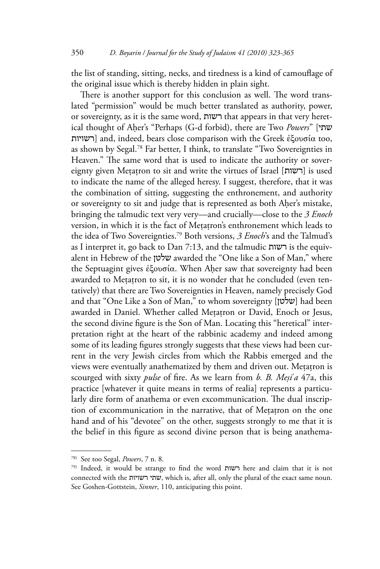the list of standing, sitting, necks, and tiredness is a kind of camouflage of the original issue which is thereby hidden in plain sight.

There is another support for this conclusion as well. The word translated "permission" would be much better translated as authority, power, or sovereignty, as it is the same word, רשות that appears in that very heretical thought of Aher's "Perhaps (G-d forbid), there are Two Powers" [שתי רשויות and, indeed, bears close comparison with the Greek ἐξουσία too, as shown by Segal.<sup>78</sup> Far better, I think, to translate "Two Sovereignties in Heaven." The same word that is used to indicate the authority or sovereignty given Metatron to sit and write the virtues of Israel [רשות] is used to indicate the name of the alleged heresy. I suggest, therefore, that it was the combination of sitting, suggesting the enthronement, and authority or sovereignty to sit and judge that is represented as both Aher's mistake, bringing the talmudic text very very—and crucially—close to the 3 Enoch version, in which it is the fact of Metatron's enthronement which leads to the idea of Two Sovereignties.<sup>79</sup> Both versions, 3 Enoch's and the Talmud's as I interpret it, go back to Dan 7:13, and the talmudic רשות is the equivalent in Hebrew of the שלטן awarded the "One like a Son of Man," where the Septuagint gives έξουσία. When Aher saw that sovereignty had been awarded to Metatron to sit, it is no wonder that he concluded (even tentatively) that there are Two Sovereignties in Heaven, namely precisely God and that "One Like a Son of Man," to whom sovereignty [שלטן] had been awarded in Daniel. Whether called Metatron or David, Enoch or Jesus, the second divine figure is the Son of Man. Locating this "heretical" interpretation right at the heart of the rabbinic academy and indeed among some of its leading figures strongly suggests that these views had been current in the very Jewish circles from which the Rabbis emerged and the views were eventually anathematized by them and driven out. Metatron is scourged with sixty *pulse* of fire. As we learn from *b. B. Mesi'a* 47a, this practice [whatever it quite means in terms of realia] represents a particularly dire form of anathema or even excommunication. The dual inscription of excommunication in the narrative, that of Metatron on the one hand and of his "devotee" on the other, suggests strongly to me that it is the belief in this figure as second divine person that is being anathema-

<sup>&</sup>lt;sup>78)</sup> See too Segal, *Powers*, 7 n. 8.

<sup>&</sup>lt;sup>79</sup> Indeed, it would be strange to find the word רשות here and claim that it is not connected with the ישתי רשויות, which is, after all, only the plural of the exact same noun. See Goshen-Gottstein, Sinner, 110, anticipating this point.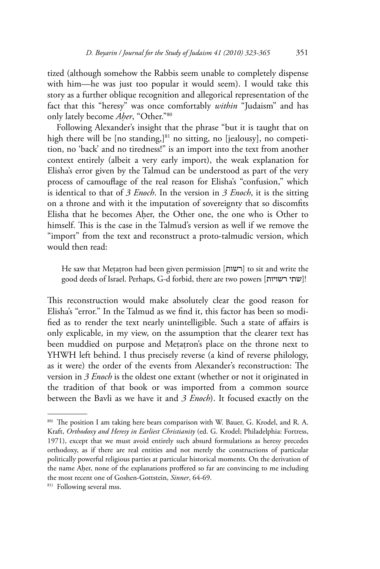tized (although somehow the Rabbis seem unable to completely dispense with him-he was just too popular it would seem). I would take this story as a further oblique recognition and allegorical representation of the fact that this "heresy" was once comfortably within "Judaism" and has only lately become Aher, "Other."80

Following Alexander's insight that the phrase "but it is taught that on high there will be  $[no$  standing, $]^{81}$  no sitting, no  $[jealousy]$ , no competition, no 'back' and no tiredness!" is an import into the text from another context entirely (albeit a very early import), the weak explanation for Elisha's error given by the Talmud can be understood as part of the very process of camouflage of the real reason for Elisha's "confusion," which is identical to that of  $\beta$  *Enoch*. In the version in  $\beta$  *Enoch*, it is the sitting on a throne and with it the imputation of sovereignty that so discomfits Elisha that he becomes Aher, the Other one, the one who is Other to himself. This is the case in the Talmud's version as well if we remove the "import" from the text and reconstruct a proto-talmudic version, which would then read:

He saw that Metatron had been given permission [רשות] to sit and write the good deeds of Israel. Perhaps, G-d forbid, there are two powers [ישתי רשויות]!

This reconstruction would make absolutely clear the good reason for Elisha's "error." In the Talmud as we find it, this factor has been so modified as to render the text nearly unintelligible. Such a state of affairs is only explicable, in my view, on the assumption that the clearer text has been muddied on purpose and Metatron's place on the throne next to YHWH left behind. I thus precisely reverse (a kind of reverse philology, as it were) the order of the events from Alexander's reconstruction: The version in 3 *Enoch* is the oldest one extant (whether or not it originated in the tradition of that book or was imported from a common source between the Bavli as we have it and 3 *Enoch*). It focused exactly on the

<sup>80)</sup> The position I am taking here bears comparison with W. Bauer, G. Krodel, and R. A. Kraft, Orthodoxy and Heresy in Earliest Christianity (ed. G. Krodel; Philadelphia: Fortress, 1971), except that we must avoid entirely such absurd formulations as heresy precedes orthodoxy, as if there are real entities and not merely the constructions of particular politically powerful religious parties at particular historical moments. On the derivation of the name Aher, none of the explanations proffered so far are convincing to me including the most recent one of Goshen-Gottstein, Sinner, 64-69.

<sup>&</sup>lt;sup>81)</sup> Following several mss.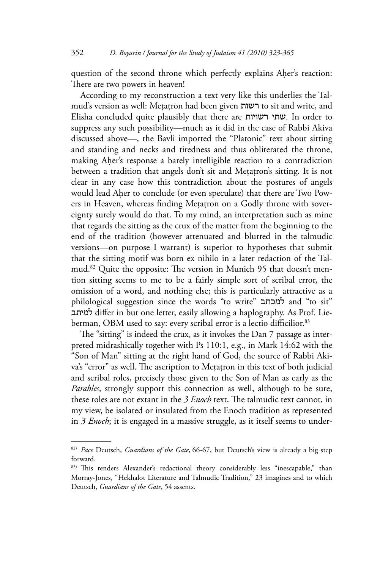question of the second throne which perfectly explains Aher's reaction: There are two powers in heaven!

According to my reconstruction a text very like this underlies the Talmud's version as well: Metatron had been given רשות to sit and write, and Elisha concluded quite plausibly that there are שתי רשויות. In order to suppress any such possibility-much as it did in the case of Rabbi Akiva discussed above-, the Bavli imported the "Platonic" text about sitting and standing and necks and tiredness and thus obliterated the throne, making Aher's response a barely intelligible reaction to a contradiction between a tradition that angels don't sit and Metatron's sitting. It is not clear in any case how this contradiction about the postures of angels would lead Aher to conclude (or even speculate) that there are Two Powers in Heaven, whereas finding Metatron on a Godly throne with sovereignty surely would do that. To my mind, an interpretation such as mine that regards the sitting as the crux of the matter from the beginning to the end of the tradition (however attenuated and blurred in the talmudic versions-on purpose I warrant) is superior to hypotheses that submit that the sitting motif was born ex nihilo in a later redaction of the Talmud.<sup>82</sup> Quite the opposite: The version in Munich 95 that doesn't mention sitting seems to me to be a fairly simple sort of scribal error, the omission of a word, and nothing else; this is particularly attractive as a philological suggestion since the words "to write" במכתב "and "to sit differ in but one letter, easily allowing a haplography. As Prof. Lieberman, OBM used to say: every scribal error is a lectio difficilior.<sup>83</sup>

The "sitting" is indeed the crux, as it invokes the Dan 7 passage as interpreted midrashically together with Ps 110:1, e.g., in Mark 14:62 with the "Son of Man" sitting at the right hand of God, the source of Rabbi Akiva's "error" as well. The ascription to Metatron in this text of both judicial and scribal roles, precisely those given to the Son of Man as early as the Parables, strongly support this connection as well, although to be sure, these roles are not extant in the 3 *Enoch* text. The talmudic text cannot, in my view, be isolated or insulated from the Enoch tradition as represented in  $\beta$  *Enoch*; it is engaged in a massive struggle, as it itself seems to under-

<sup>82)</sup> Pace Deutsch, Guardians of the Gate, 66-67, but Deutsch's view is already a big step forward.

<sup>83)</sup> This renders Alexander's redactional theory considerably less "inescapable," than Morray-Jones, "Hekhalot Literature and Talmudic Tradition," 23 imagines and to which Deutsch, Guardians of the Gate, 54 assents.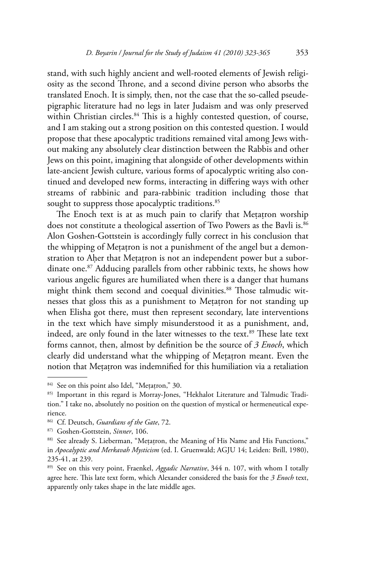stand, with such highly ancient and well-rooted elements of Jewish religiosity as the second Throne, and a second divine person who absorbs the translated Enoch. It is simply, then, not the case that the so-called pseudepigraphic literature had no legs in later Judaism and was only preserved within Christian circles.<sup>84</sup> This is a highly contested question, of course, and I am staking out a strong position on this contested question. I would propose that these apocalyptic traditions remained vital among Jews without making any absolutely clear distinction between the Rabbis and other Jews on this point, imagining that alongside of other developments within late-ancient Jewish culture, various forms of apocalyptic writing also continued and developed new forms, interacting in differing ways with other streams of rabbinic and para-rabbinic tradition including those that sought to suppress those apocalyptic traditions.<sup>85</sup>

The Enoch text is at as much pain to clarify that Metatron worship does not constitute a theological assertion of Two Powers as the Bavli is.<sup>86</sup> Alon Goshen-Gottstein is accordingly fully correct in his conclusion that the whipping of Metatron is not a punishment of the angel but a demonstration to Aher that Metatron is not an independent power but a subordinate one.<sup>87</sup> Adducing parallels from other rabbinic texts, he shows how various angelic figures are humiliated when there is a danger that humans might think them second and coequal divinities.<sup>88</sup> Those talmudic witnesses that gloss this as a punishment to Metatron for not standing up when Elisha got there, must then represent secondary, late interventions in the text which have simply misunderstood it as a punishment, and, indeed, are only found in the later witnesses to the text.<sup>89</sup> These late text forms cannot, then, almost by definition be the source of 3 *Enoch*, which clearly did understand what the whipping of Metatron meant. Even the notion that Metatron was indemnified for this humiliation via a retaliation

<sup>&</sup>lt;sup>84)</sup> See on this point also Idel, "Metatron," 30.

<sup>85)</sup> Important in this regard is Morray-Jones, "Hekhalot Literature and Talmudic Tradition." I take no, absolutely no position on the question of mystical or hermeneutical experience.

<sup>86)</sup> Cf. Deutsch, Guardians of the Gate, 72.

<sup>87)</sup> Goshen-Gottstein, Sinner, 106.

See already S. Lieberman, "Metatron, the Meaning of His Name and His Functions," 88) in Apocalyptic and Merkavah Mysticism (ed. I. Gruenwald; AGJU 14; Leiden: Brill, 1980), 235-41, at 239.

<sup>89)</sup> See on this very point, Fraenkel, Aggadic Narrative, 344 n. 107, with whom I totally agree here. This late text form, which Alexander considered the basis for the 3 Enoch text, apparently only takes shape in the late middle ages.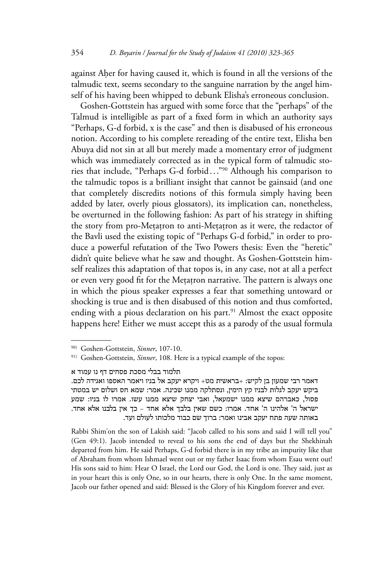against Aher for having caused it, which is found in all the versions of the talmudic text, seems secondary to the sanguine narration by the angel himself of his having been whipped to debunk Elisha's erroneous conclusion.

Goshen-Gottstein has argued with some force that the "perhaps" of the Talmud is intelligible as part of a fixed form in which an authority says "Perhaps, G-d forbid, x is the case" and then is disabused of his erroneous notion. According to his complete rereading of the entire text, Elisha ben Abuya did not sin at all but merely made a momentary error of judgment which was immediately corrected as in the typical form of talmudic stories that include, "Perhaps G-d forbid..."<sup>990</sup> Although his comparison to the talmudic topos is a brilliant insight that cannot be gainsaid (and one that completely discredits notions of this formula simply having been added by later, overly pious glossators), its implication can, nonetheless, be overturned in the following fashion: As part of his strategy in shifting the story from pro-Metatron to anti-Metatron as it were, the redactor of the Bavli used the existing topic of "Perhaps G-d forbid," in order to produce a powerful refutation of the Two Powers thesis: Even the "heretic" didn't quite believe what he saw and thought. As Goshen-Gottstein himself realizes this adaptation of that topos is, in any case, not at all a perfect or even very good fit for the Metatron narrative. The pattern is always one in which the pious speaker expresses a fear that something untoward or shocking is true and is then disabused of this notion and thus comforted, ending with a pious declaration on his part.<sup>91</sup> Almost the exact opposite happens here! Either we must accept this as a parody of the usual formula

תלמוד בבלי מסכת פסחים דף נו עמוד א

דאמר רבי שמעון בן לקיש: +בראשית מט+ ויקרא יעקב אל בניו ויאמר האספו ואגידה לכם. ביקש יעקב לגלות לבניו קץ הימין, ונסתלקה ממנו שכינה. אמר: שמא חס ושלום יש במטתי פסול, כאברהם שיצא ממנו ישמעאל, ואבי יצחק שיצא ממנו עשו. אמרו לו בניו: שמע ישראל ה' אלהינו ה' אחד. אמרו: כשם שאין בלבך אלא אחד - כך אין בלבנו אלא אחד. באותה שעה פתח יעקב אבינו ואמר: ברוך שם כבוד מלכותו לעולם ועד.

Rabbi Shim'on the son of Lakish said: "Jacob called to his sons and said I will tell you" (Gen 49:1). Jacob intended to reveal to his sons the end of days but the Shekhinah departed from him. He said Perhaps, G-d forbid there is in my tribe an impurity like that of Abraham from whom Ishmael went out or my father Isaac from whom Esau went out! His sons said to him: Hear O Israel, the Lord our God, the Lord is one. They said, just as in your heart this is only One, so in our hearts, there is only One. In the same moment, Jacob our father opened and said: Blessed is the Glory of his Kingdom forever and ever.

<sup>&</sup>lt;sup>90)</sup> Goshen-Gottstein, Sinner, 107-10.

<sup>&</sup>lt;sup>91)</sup> Goshen-Gottstein, *Sinner*, 108. Here is a typical example of the topos: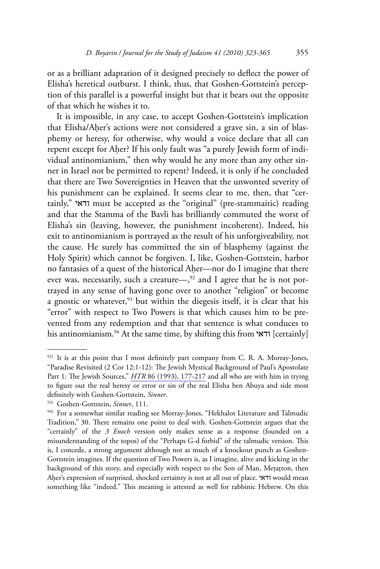or as a brilliant adaptation of it designed precisely to deflect the power of Elisha's heretical outburst. I think, thus, that Goshen-Gottstein's perception of this parallel is a powerful insight but that it bears out the opposite of that which he wishes it to

It is impossible, in any case, to accept Goshen-Gottstein's implication that Elisha/Aher's actions were not considered a grave sin, a sin of blasphemy or heresy, for otherwise, why would a voice declare that all can repent except for Aher? If his only fault was "a purely Jewish form of individual antinomianism," then why would he any more than any other sinner in Israel not be permitted to repent? Indeed, it is only if he concluded that there are Two Sovereignties in Heaven that the unwonted severity of his punishment can be explained. It seems clear to me, then, that "certainly," ודאי must be accepted as the "original" (pre-stammaitic) reading and that the Stamma of the Bavli has brilliantly commuted the worst of Elisha's sin (leaving, however, the punishment incoherent). Indeed, his exit to antinomianism is portrayed as the result of his unforgiveability, not the cause. He surely has committed the sin of blasphemy (against the Holy Spirit) which cannot be forgiven. I, like, Goshen-Gottstein, harbor no fantasies of a quest of the historical Aher-nor do I imagine that there ever was, necessarily, such a creature-,<sup>92</sup> and I agree that he is not portrayed in any sense of having gone over to another "religion" or become a gnostic or whatever,<sup>93</sup> but within the diegesis itself, it is clear that his "error" with respect to Two Powers is that which causes him to be prevented from any redemption and that that sentence is what conduces to his antinomianism.<sup>94</sup> At the same time, by shifting this from ודאי [certainly]

<sup>&</sup>lt;sup>92)</sup> It is at this point that I most definitely part company from C. R. A. Morray-Jones, "Paradise Revisited (2 Cor 12:1-12): The Jewish Mystical Background of Paul's Apostolate Part 1: The Jewish Sources," HTR 86 (1993), 177-217 and all who are with him in trying to figure out the real heresy or error or sin of the real Elisha ben Abuya and side most definitely with Goshen-Gottstein, Sinner.

<sup>&</sup>lt;sup>93)</sup> Goshen-Gottstein, Sinner, 111.

<sup>&</sup>lt;sup>94)</sup> For a somewhat similar reading see Morray-Jones, "Hekhalot Literature and Talmudic Tradition," 30. There remains one point to deal with. Goshen-Gottstein argues that the "certainly" of the 3 *Enoch* version only makes sense as a response (founded on a misunderstanding of the topos) of the "Perhaps G-d forbid" of the talmudic version. This is, I concede, a strong argument although not as much of a knockout punch as Goshen-Gottstein imagines. If the question of Two Powers is, as I imagine, alive and kicking in the background of this story, and especially with respect to the Son of Man, Metatron, then Aher's expression of surprised, shocked certainty is not at all out of place. או דאי would mean something like "indeed." This meaning is attested as well for rabbinic Hebrew. On this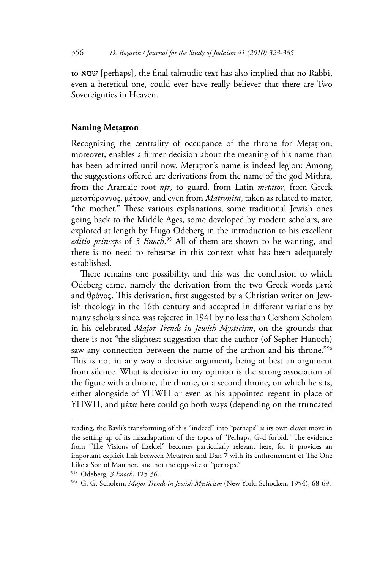to שמא [perhaps], the final talmudic text has also implied that no Rabbi, even a heretical one, could ever have really believer that there are Two Sovereignties in Heaven.

# **Naming Metatron**

Recognizing the centrality of occupance of the throne for Metatron, moreover, enables a firmer decision about the meaning of his name than has been admitted until now. Metatron's name is indeed legion: Among the suggestions offered are derivations from the name of the god Mithra, from the Aramaic root ntr, to guard, from Latin metator, from Greek μετατύραννος, μέτρον, and even from *Matronita*, taken as related to mater, "the mother." These various explanations, some traditional Jewish ones going back to the Middle Ages, some developed by modern scholars, are explored at length by Hugo Odeberg in the introduction to his excellent editio princeps of 3 Enoch.<sup>95</sup> All of them are shown to be wanting, and there is no need to rehearse in this context what has been adequately established.

There remains one possibility, and this was the conclusion to which Odeberg came, namely the derivation from the two Greek words μετά and θρόνος. This derivation, first suggested by a Christian writer on Jewish theology in the 16th century and accepted in different variations by many scholars since, was rejected in 1941 by no less than Gershom Scholem in his celebrated Major Trends in Jewish Mysticism, on the grounds that there is not "the slightest suggestion that the author (of Sepher Hanoch) saw any connection between the name of the archon and his throne."96 This is not in any way a decisive argument, being at best an argument from silence. What is decisive in my opinion is the strong association of the figure with a throne, the throne, or a second throne, on which he sits, either alongside of YHWH or even as his appointed regent in place of YHWH, and μέτα here could go both ways (depending on the truncated

reading, the Bavli's transforming of this "indeed" into "perhaps" is its own clever move in the setting up of its misadaptation of the topos of "Perhaps, G-d forbid." The evidence from "The Visions of Ezekiel" becomes particularly relevant here, for it provides an important explicit link between Metatron and Dan 7 with its enthronement of The One Like a Son of Man here and not the opposite of "perhaps."

<sup>&</sup>lt;sup>95)</sup> Odeberg, 3 Enoch, 125-36.

<sup>&</sup>lt;sup>96)</sup> G. G. Scholem, Major Trends in Jewish Mysticism (New York: Schocken, 1954), 68-69.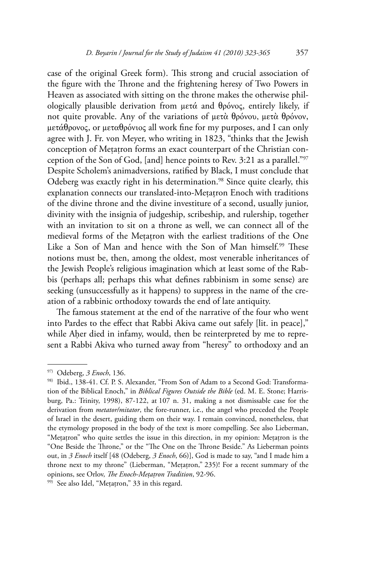case of the original Greek form). This strong and crucial association of the figure with the Throne and the frightening heresy of Two Powers in Heaven as associated with sitting on the throne makes the otherwise philologically plausible derivation from  $\mu \in \alpha$  and  $\theta$ ρόνος, entirely likely, if not quite provable. Any of the variations of μετά θρόνου, μετά θρόνον, μετάθρονος, or μεταθρόνιος all work fine for my purposes, and I can only agree with J. Fr. von Meyer, who writing in 1823, "thinks that the Jewish conception of Metatron forms an exact counterpart of the Christian conception of the Son of God, [and] hence points to Rev. 3:21 as a parallel."97 Despite Scholem's animadversions, ratified by Black, I must conclude that Odeberg was exactly right in his determination.<sup>98</sup> Since quite clearly, this explanation connects our translated-into-Metatron Enoch with traditions of the divine throne and the divine investiture of a second, usually junior, divinity with the insignia of judgeship, scribeship, and rulership, together with an invitation to sit on a throne as well, we can connect all of the medieval forms of the Metatron with the earliest traditions of the One Like a Son of Man and hence with the Son of Man himself.<sup>99</sup> These notions must be, then, among the oldest, most venerable inheritances of the Jewish People's religious imagination which at least some of the Rabbis (perhaps all; perhaps this what defines rabbinism in some sense) are seeking (unsuccessfully as it happens) to suppress in the name of the creation of a rabbinic orthodoxy towards the end of late antiquity.

The famous statement at the end of the narrative of the four who went into Pardes to the effect that Rabbi Akiva came out safely [lit. in peace]," while Aher died in infamy, would, then be reinterpreted by me to represent a Rabbi Akiva who turned away from "heresy" to orthodoxy and an

<sup>97)</sup> Odeberg, 3 Enoch, 136.

<sup>98)</sup> Ibid., 138-41. Cf. P. S. Alexander, "From Son of Adam to a Second God: Transformation of the Biblical Enoch," in Biblical Figures Outside the Bible (ed. M. E. Stone; Harrisburg, Pa.: Trinity, 1998), 87-122, at 107 n. 31, making a not dismissable case for the derivation from *metator/mitator*, the fore-runner, i.e., the angel who preceded the People of Israel in the desert, guiding them on their way. I remain convinced, nonetheless, that the etymology proposed in the body of the text is more compelling. See also Lieberman, "Metatron" who quite settles the issue in this direction, in my opinion: Metatron is the "One Beside the Throne," or the "The One on the Throne Beside." As Lieberman points out, in 3 Enoch itself [48 (Odeberg, 3 Enoch, 66)], God is made to say, "and I made him a throne next to my throne" (Lieberman, "Metatron," 235)! For a recent summary of the opinions, see Orlov, The Enoch-Metatron Tradition, 92-96.

<sup>&</sup>lt;sup>99)</sup> See also Idel, "Metatron," 33 in this regard.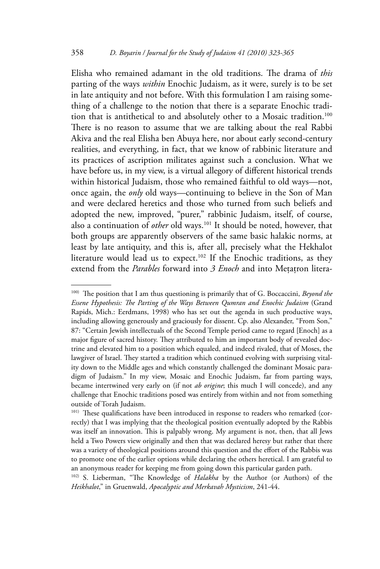Elisha who remained adamant in the old traditions. The drama of this parting of the ways within Enochic Judaism, as it were, surely is to be set in late antiquity and not before. With this formulation I am raising something of a challenge to the notion that there is a separate Enochic tradition that is antithetical to and absolutely other to a Mosaic tradition.<sup>100</sup> There is no reason to assume that we are talking about the real Rabbi Akiva and the real Elisha ben Abuya here, nor about early second-century realities, and everything, in fact, that we know of rabbinic literature and its practices of ascription militates against such a conclusion. What we have before us, in my view, is a virtual allegory of different historical trends within historical Judaism, those who remained faithful to old ways-not, once again, the *only* old ways—continuing to believe in the Son of Man and were declared heretics and those who turned from such beliefs and adopted the new, improved, "purer," rabbinic Judaism, itself, of course, also a continuation of *other* old ways.<sup>101</sup> It should be noted, however, that both groups are apparently observers of the same basic halakic norms, at least by late antiquity, and this is, after all, precisely what the Hekhalot literature would lead us to expect.<sup>102</sup> If the Enochic traditions, as they extend from the Parables forward into 3 Enoch and into Metatron litera-

<sup>&</sup>lt;sup>100)</sup> The position that I am thus questioning is primarily that of G. Boccaccini, Beyond the Essene Hypothesis: The Parting of the Ways Between Qumran and Enochic Judaism (Grand Rapids, Mich.: Eerdmans, 1998) who has set out the agenda in such productive ways, including allowing generously and graciously for dissent. Cp. also Alexander, "From Son," 87: "Certain Jewish intellectuals of the Second Temple period came to regard [Enoch] as a major figure of sacred history. They attributed to him an important body of revealed doctrine and elevated him to a position which equaled, and indeed rivaled, that of Moses, the lawgiver of Israel. They started a tradition which continued evolving with surprising vitality down to the Middle ages and which constantly challenged the dominant Mosaic paradigm of Judaism." In my view, Mosaic and Enochic Judaism, far from parting ways, became intertwined very early on (if not *ab origine*; this much I will concede), and any challenge that Enochic traditions posed was entirely from within and not from something outside of Torah Judaism.

<sup>&</sup>lt;sup>101)</sup> These qualifications have been introduced in response to readers who remarked (correctly) that I was implying that the theological position eventually adopted by the Rabbis was itself an innovation. This is palpably wrong. My argument is not, then, that all Jews held a Two Powers view originally and then that was declared heresy but rather that there was a variety of theological positions around this question and the effort of the Rabbis was to promote one of the earlier options while declaring the others heretical. I am grateful to an anonymous reader for keeping me from going down this particular garden path.

<sup>102)</sup> S. Lieberman, "The Knowledge of Halakha by the Author (or Authors) of the Heikhalot," in Gruenwald, Apocalyptic and Merkavah Mysticism, 241-44.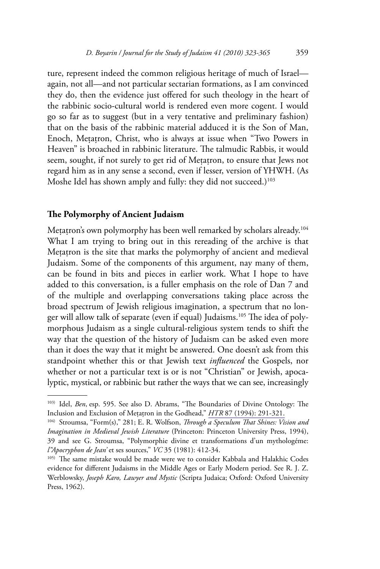ture, represent indeed the common religious heritage of much of Israelagain, not all—and not particular sectarian formations, as I am convinced they do, then the evidence just offered for such theology in the heart of the rabbinic socio-cultural world is rendered even more cogent. I would go so far as to suggest (but in a very tentative and preliminary fashion) that on the basis of the rabbinic material adduced it is the Son of Man, Enoch, Metatron, Christ, who is always at issue when "Two Powers in Heaven" is broached in rabbinic literature. The talmudic Rabbis, it would seem, sought, if not surely to get rid of Metatron, to ensure that Jews not regard him as in any sense a second, even if lesser, version of YHWH. (As Moshe Idel has shown amply and fully: they did not succeed.)<sup>103</sup>

# The Polymorphy of Ancient Judaism

Metatron's own polymorphy has been well remarked by scholars already.<sup>104</sup> What I am trying to bring out in this rereading of the archive is that Metatron is the site that marks the polymorphy of ancient and medieval Judaism. Some of the components of this argument, nay many of them, can be found in bits and pieces in earlier work. What I hope to have added to this conversation, is a fuller emphasis on the role of Dan 7 and of the multiple and overlapping conversations taking place across the broad spectrum of Jewish religious imagination, a spectrum that no longer will allow talk of separate (even if equal) Judaisms.<sup>105</sup> The idea of polymorphous Judaism as a single cultural-religious system tends to shift the way that the question of the history of Judaism can be asked even more than it does the way that it might be answered. One doesn't ask from this standpoint whether this or that Jewish text *influenced* the Gospels, nor whether or not a particular text is or is not "Christian" or Jewish, apocalyptic, mystical, or rabbinic but rather the ways that we can see, increasingly

<sup>&</sup>lt;sup>103)</sup> Idel, *Ben*, esp. 595. See also D. Abrams, "The Boundaries of Divine Ontology: The Inclusion and Exclusion of Metatron in the Godhead," HTR 87 (1994): 291-321.

<sup>&</sup>lt;sup>104)</sup> Stroumsa, "Form(s)," 281; E. R. Wolfson, Through a Speculum That Shines: Vision and Imagination in Medieval Jewish Literature (Princeton: Princeton University Press, 1994), 39 and see G. Stroumsa, "Polymorphie divine et transformations d'un mythologéme: l'Apocryphon de Jean' et ses sources," VC 35 (1981): 412-34.

<sup>&</sup>lt;sup>105)</sup> The same mistake would be made were we to consider Kabbala and Halakhic Codes evidence for different Judaisms in the Middle Ages or Early Modern period. See R. J. Z. Werblowsky, Joseph Karo, Lawyer and Mystic (Scripta Judaica; Oxford: Oxford University Press, 1962).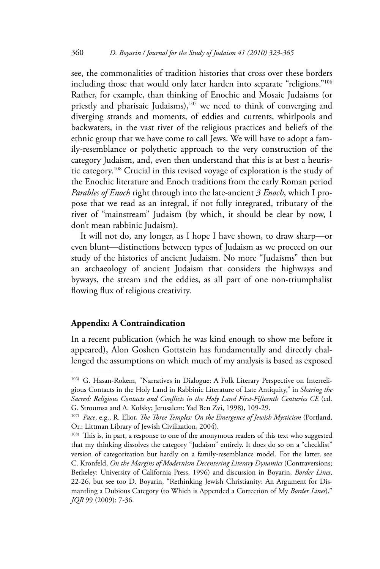see, the commonalities of tradition histories that cross over these borders including those that would only later harden into separate "religions."<sup>106</sup> Rather, for example, than thinking of Enochic and Mosaic Judaisms (or priestly and pharisaic Judaisms),<sup>107</sup> we need to think of converging and diverging strands and moments, of eddies and currents, whirlpools and backwaters, in the vast river of the religious practices and beliefs of the ethnic group that we have come to call Jews. We will have to adopt a family-resemblance or polythetic approach to the very construction of the category Judaism, and, even then understand that this is at best a heuristic category.<sup>108</sup> Crucial in this revised voyage of exploration is the study of the Enochic literature and Enoch traditions from the early Roman period Parables of Enoch right through into the late-ancient 3 Enoch, which I propose that we read as an integral, if not fully integrated, tributary of the river of "mainstream" Judaism (by which, it should be clear by now, I don't mean rabbinic Judaism).

It will not do, any longer, as I hope I have shown, to draw sharp-or even blunt-distinctions between types of Judaism as we proceed on our study of the histories of ancient Judaism. No more "Judaisms" then but an archaeology of ancient Judaism that considers the highways and byways, the stream and the eddies, as all part of one non-triumphalist flowing flux of religious creativity.

#### **Appendix: A Contraindication**

In a recent publication (which he was kind enough to show me before it appeared), Alon Goshen Gottstein has fundamentally and directly challenged the assumptions on which much of my analysis is based as exposed

<sup>106)</sup> G. Hasan-Rokem, "Narratives in Dialogue: A Folk Literary Perspective on Interreligious Contacts in the Holy Land in Rabbinic Literature of Late Antiquity," in Sharing the Sacred: Religious Contacts and Conflicts in the Holy Land First-Fifteenth Centuries CE (ed. G. Stroumsa and A. Kofsky; Jerusalem: Yad Ben Zvi, 1998), 109-29.

<sup>&</sup>lt;sup>107)</sup> Pace, e.g., R. Elior, The Three Temples: On the Emergence of Jewish Mysticism (Portland, Or.: Littman Library of Jewish Civilization, 2004).

<sup>&</sup>lt;sup>108)</sup> This is, in part, a response to one of the anonymous readers of this text who suggested that my thinking dissolves the category "Judaism" entirely. It does do so on a "checklist" version of categorization but hardly on a family-resemblance model. For the latter, see C. Kronfeld, On the Margins of Modernism Decentering Literary Dynamics (Contraversions; Berkeley: University of California Press, 1996) and discussion in Boyarin, Border Lines, 22-26, but see too D. Boyarin, "Rethinking Jewish Christianity: An Argument for Dismantling a Dubious Category (to Which is Appended a Correction of My Border Lines)," JQR 99 (2009): 7-36.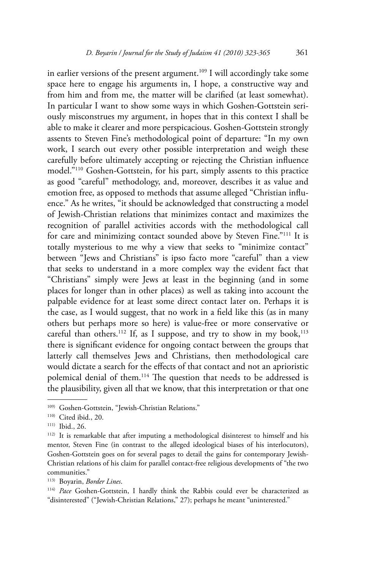in earlier versions of the present argument.<sup>109</sup> I will accordingly take some space here to engage his arguments in, I hope, a constructive way and from him and from me, the matter will be clarified (at least somewhat). In particular I want to show some ways in which Goshen-Gottstein seriously misconstrues my argument, in hopes that in this context I shall be able to make it clearer and more perspicacious. Goshen-Gottstein strongly assents to Steven Fine's methodological point of departure: "In my own work, I search out every other possible interpretation and weigh these carefully before ultimately accepting or rejecting the Christian influence model."<sup>110</sup> Goshen-Gottstein, for his part, simply assents to this practice as good "careful" methodology, and, moreover, describes it as value and emotion free, as opposed to methods that assume alleged "Christian influence." As he writes, "it should be acknowledged that constructing a model of Jewish-Christian relations that minimizes contact and maximizes the recognition of parallel activities accords with the methodological call for care and minimizing contact sounded above by Steven Fine."<sup>111</sup> It is totally mysterious to me why a view that seeks to "minimize contact" between "Jews and Christians" is ipso facto more "careful" than a view that seeks to understand in a more complex way the evident fact that "Christians" simply were Jews at least in the beginning (and in some places for longer than in other places) as well as taking into account the palpable evidence for at least some direct contact later on. Perhaps it is the case, as I would suggest, that no work in a field like this (as in many others but perhaps more so here) is value-free or more conservative or careful than others.<sup>112</sup> If, as I suppose, and try to show in my book,<sup>113</sup> there is significant evidence for ongoing contact between the groups that latterly call themselves Jews and Christians, then methodological care would dictate a search for the effects of that contact and not an aprioristic polemical denial of them.<sup>114</sup> The question that needs to be addressed is the plausibility, given all that we know, that this interpretation or that one

<sup>&</sup>lt;sup>109)</sup> Goshen-Gottstein, "Jewish-Christian Relations."

 $110$ ) Cited ibid., 20.

<sup>&</sup>lt;sup>111)</sup> Ibid., 26.

<sup>&</sup>lt;sup>112)</sup> It is remarkable that after imputing a methodological disinterest to himself and his mentor, Steven Fine (in contrast to the alleged ideological biases of his interlocutors), Goshen-Gottstein goes on for several pages to detail the gains for contemporary Jewish-Christian relations of his claim for parallel contact-free religious developments of "the two communities."

<sup>&</sup>lt;sup>113)</sup> Boyarin, *Border Lines*.

<sup>&</sup>lt;sup>114)</sup> Pace Goshen-Gottstein, I hardly think the Rabbis could ever be characterized as "disinterested" ("Jewish-Christian Relations," 27); perhaps he meant "uninterested."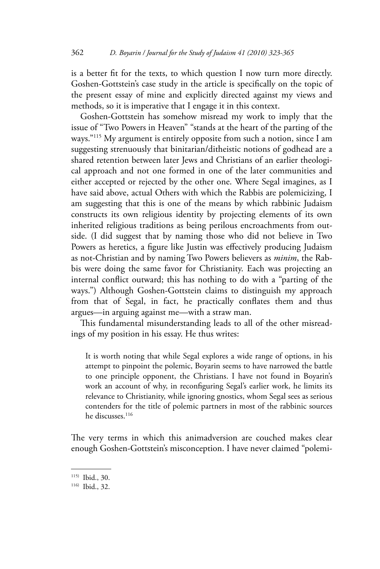is a better fit for the texts, to which question I now turn more directly. Goshen-Gottstein's case study in the article is specifically on the topic of the present essay of mine and explicitly directed against my views and methods, so it is imperative that I engage it in this context.

Goshen-Gottstein has somehow misread my work to imply that the issue of "Two Powers in Heaven" "stands at the heart of the parting of the ways."<sup>115</sup> My argument is entirely opposite from such a notion, since I am suggesting strenuously that binitarian/ditheistic notions of godhead are a shared retention between later Jews and Christians of an earlier theological approach and not one formed in one of the later communities and either accepted or rejected by the other one. Where Segal imagines, as I have said above, actual Others with which the Rabbis are polemicizing, I am suggesting that this is one of the means by which rabbinic Judaism constructs its own religious identity by projecting elements of its own inherited religious traditions as being perilous encroachments from outside. (I did suggest that by naming those who did not believe in Two Powers as heretics, a figure like Justin was effectively producing Judaism as not-Christian and by naming Two Powers believers as *minim*, the Rabbis were doing the same favor for Christianity. Each was projecting an internal conflict outward; this has nothing to do with a "parting of the ways.") Although Goshen-Gottstein claims to distinguish my approach from that of Segal, in fact, he practically conflates them and thus argues—in arguing against me—with a straw man.

This fundamental misunderstanding leads to all of the other misreadings of my position in his essay. He thus writes:

It is worth noting that while Segal explores a wide range of options, in his attempt to pinpoint the polemic, Boyarin seems to have narrowed the battle to one principle opponent, the Christians. I have not found in Boyarin's work an account of why, in reconfiguring Segal's earlier work, he limits its relevance to Christianity, while ignoring gnostics, whom Segal sees as serious contenders for the title of polemic partners in most of the rabbinic sources he discusses.<sup>116</sup>

The very terms in which this animadversion are couched makes clear enough Goshen-Gottstein's misconception. I have never claimed "polemi-

<sup>&</sup>lt;sup>115)</sup> Ibid., 30.

<sup>&</sup>lt;sup>116</sup> Ibid., 32.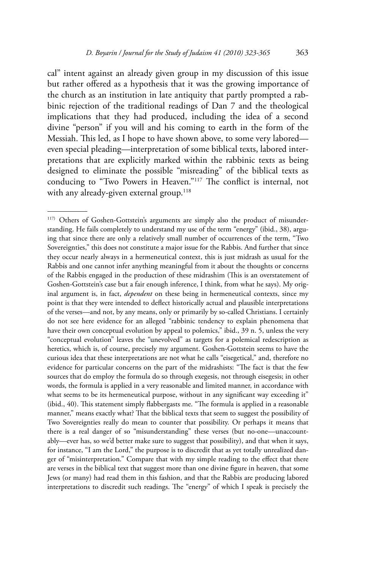cal" intent against an already given group in my discussion of this issue but rather offered as a hypothesis that it was the growing importance of the church as an institution in late antiquity that partly prompted a rabbinic rejection of the traditional readings of Dan 7 and the theological implications that they had produced, including the idea of a second divine "person" if you will and his coming to earth in the form of the Messiah. This led, as I hope to have shown above, to some very labored even special pleading—interpretation of some biblical texts, labored interpretations that are explicitly marked within the rabbinic texts as being designed to eliminate the possible "misreading" of the biblical texts as conducing to "Two Powers in Heaven."<sup>117</sup> The conflict is internal, not with any already-given external group.<sup>118</sup>

<sup>117)</sup> Others of Goshen-Gottstein's arguments are simply also the product of misunderstanding. He fails completely to understand my use of the term "energy" (ibid., 38), arguing that since there are only a relatively small number of occurrences of the term, "Two Sovereignties," this does not constitute a major issue for the Rabbis. And further that since they occur nearly always in a hermeneutical context, this is just midrash as usual for the Rabbis and one cannot infer anything meaningful from it about the thoughts or concerns of the Rabbis engaged in the production of these midrashim (This is an overstatement of Goshen-Gottstein's case but a fair enough inference, I think, from what he says). My original argument is, in fact, *dependent* on these being in hermeneutical contexts, since my point is that they were intended to deflect historically actual and plausible interpretations of the verses—and not, by any means, only or primarily by so-called Christians. I certainly do not see here evidence for an alleged "rabbinic tendency to explain phenomena that have their own conceptual evolution by appeal to polemics," ibid., 39 n. 5, unless the very "conceptual evolution" leaves the "unevolved" as targets for a polemical redescription as heretics, which is, of course, precisely my argument. Goshen-Gottstein seems to have the curious idea that these interpretations are not what he calls "eisegetical," and, therefore no evidence for particular concerns on the part of the midrashists: "The fact is that the few sources that do employ the formula do so through exegesis, not through eisegesis; in other words, the formula is applied in a very reasonable and limited manner, in accordance with what seems to be its hermeneutical purpose, without in any significant way exceeding it" (ibid., 40). This statement simply flabbergasts me. "The formula is applied in a reasonable manner," means exactly what? That the biblical texts that seem to suggest the possibility of Two Sovereignties really do mean to counter that possibility. Or perhaps it means that there is a real danger of so "misunderstanding" these verses (but no-one-unaccountably—ever has, so we'd better make sure to suggest that possibility), and that when it says, for instance, "I am the Lord," the purpose is to discredit that as yet totally unrealized danger of "misinterpretation." Compare that with my simple reading to the effect that there are verses in the biblical text that suggest more than one divine figure in heaven, that some Jews (or many) had read them in this fashion, and that the Rabbis are producing labored interpretations to discredit such readings. The "energy" of which I speak is precisely the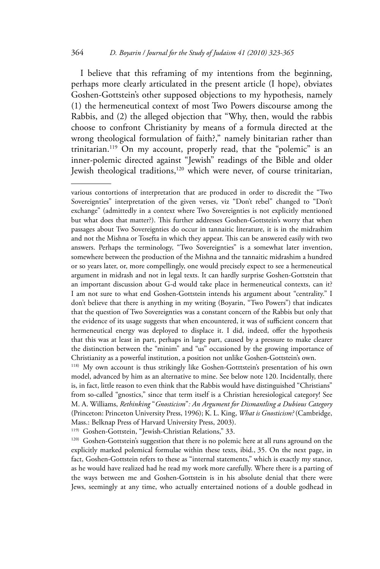I believe that this reframing of my intentions from the beginning, perhaps more clearly articulated in the present article (I hope), obviates Goshen-Gottstein's other supposed objections to my hypothesis, namely (1) the hermeneutical context of most Two Powers discourse among the Rabbis, and (2) the alleged objection that "Why, then, would the rabbis choose to confront Christianity by means of a formula directed at the wrong theological formulation of faith?," namely binitarian rather than trinitarian.<sup>119</sup> On my account, properly read, that the "polemic" is an inner-polemic directed against "Jewish" readings of the Bible and older Jewish theological traditions,<sup>120</sup> which were never, of course trinitarian,

various contortions of interpretation that are produced in order to discredit the "Two Sovereignties" interpretation of the given verses, viz "Don't rebel" changed to "Don't exchange" (admittedly in a context where Two Sovereignties is not explicitly mentioned but what does that matter?). This further addresses Goshen-Gottstein's worry that when passages about Two Sovereignties do occur in tannaitic literature, it is in the midrashim and not the Mishna or Tosefta in which they appear. This can be answered easily with two answers. Perhaps the terminology, "Two Sovereignties" is a somewhat later invention, somewhere between the production of the Mishna and the tannaitic midrashim a hundred or so years later, or, more compellingly, one would precisely expect to see a hermeneutical argument in midrash and not in legal texts. It can hardly surprise Goshen-Gottstein that an important discussion about G-d would take place in hermeneutical contexts, can it? I am not sure to what end Goshen-Gottstein intends his argument about "centrality." I don't believe that there is anything in my writing (Boyarin, "Two Powers") that indicates that the question of Two Sovereignties was a constant concern of the Rabbis but only that the evidence of its usage suggests that when encountered, it was of sufficient concern that hermeneutical energy was deployed to displace it. I did, indeed, offer the hypothesis that this was at least in part, perhaps in large part, caused by a pressure to make clearer the distinction between the "minim" and "us" occasioned by the growing importance of Christianity as a powerful institution, a position not unlike Goshen-Gottstein's own.

<sup>118)</sup> My own account is thus strikingly like Goshen-Gotttstein's presentation of his own model, advanced by him as an alternative to mine. See below note 120. Incidentally, there is, in fact, little reason to even think that the Rabbis would have distinguished "Christians" from so-called "gnostics," since that term itself is a Christian heresiological category! See M. A. Williams, Rethinking "Gnosticism": An Argument for Dismantling a Dubious Category (Princeton: Princeton University Press, 1996); K. L. King, What is Gnosticism? (Cambridge, Mass.: Belknap Press of Harvard University Press, 2003).

<sup>119)</sup> Goshen-Gottstein, "Jewish-Christian Relations," 33.

<sup>120)</sup> Goshen-Gottstein's suggestion that there is no polemic here at all runs aground on the explicitly marked polemical formulae within these texts, ibid., 35. On the next page, in fact, Goshen-Gottstein refers to these as "internal statements," which is exactly my stance, as he would have realized had he read my work more carefully. Where there is a parting of the ways between me and Goshen-Gottstein is in his absolute denial that there were Jews, seemingly at any time, who actually entertained notions of a double godhead in